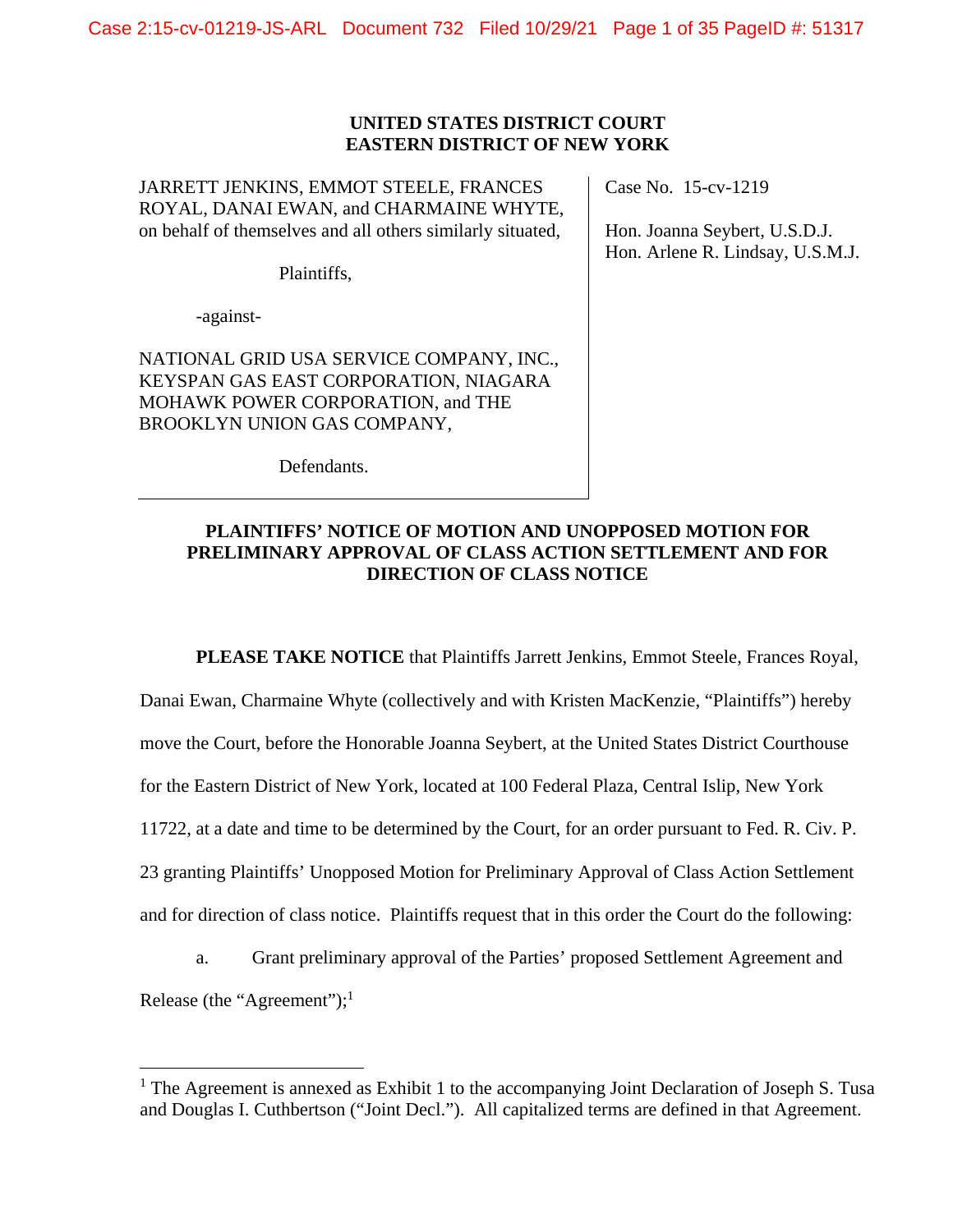Case 2:15-cv-01219-JS-ARL Document 732 Filed 10/29/21 Page 1 of 35 PageID #: 51317

### **UNITED STATES DISTRICT COURT EASTERN DISTRICT OF NEW YORK**

JARRETT JENKINS, EMMOT STEELE, FRANCES ROYAL, DANAI EWAN, and CHARMAINE WHYTE, on behalf of themselves and all others similarly situated,

Plaintiffs,

-against-

 $\overline{a}$ 

NATIONAL GRID USA SERVICE COMPANY, INC., KEYSPAN GAS EAST CORPORATION, NIAGARA MOHAWK POWER CORPORATION, and THE BROOKLYN UNION GAS COMPANY,

Defendants.

Case No. 15-cv-1219

Hon. Joanna Seybert, U.S.D.J. Hon. Arlene R. Lindsay, U.S.M.J.

# **PLAINTIFFS' NOTICE OF MOTION AND UNOPPOSED MOTION FOR PRELIMINARY APPROVAL OF CLASS ACTION SETTLEMENT AND FOR DIRECTION OF CLASS NOTICE**

**PLEASE TAKE NOTICE** that Plaintiffs Jarrett Jenkins, Emmot Steele, Frances Royal,

Danai Ewan, Charmaine Whyte (collectively and with Kristen MacKenzie, "Plaintiffs") hereby move the Court, before the Honorable Joanna Seybert, at the United States District Courthouse for the Eastern District of New York, located at 100 Federal Plaza, Central Islip, New York 11722, at a date and time to be determined by the Court, for an order pursuant to Fed. R. Civ. P. 23 granting Plaintiffs' Unopposed Motion for Preliminary Approval of Class Action Settlement and for direction of class notice. Plaintiffs request that in this order the Court do the following:

a. Grant preliminary approval of the Parties' proposed Settlement Agreement and Release (the "Agreement"); $<sup>1</sup>$ </sup>

<sup>&</sup>lt;sup>1</sup> The Agreement is annexed as Exhibit 1 to the accompanying Joint Declaration of Joseph S. Tusa and Douglas I. Cuthbertson ("Joint Decl."). All capitalized terms are defined in that Agreement.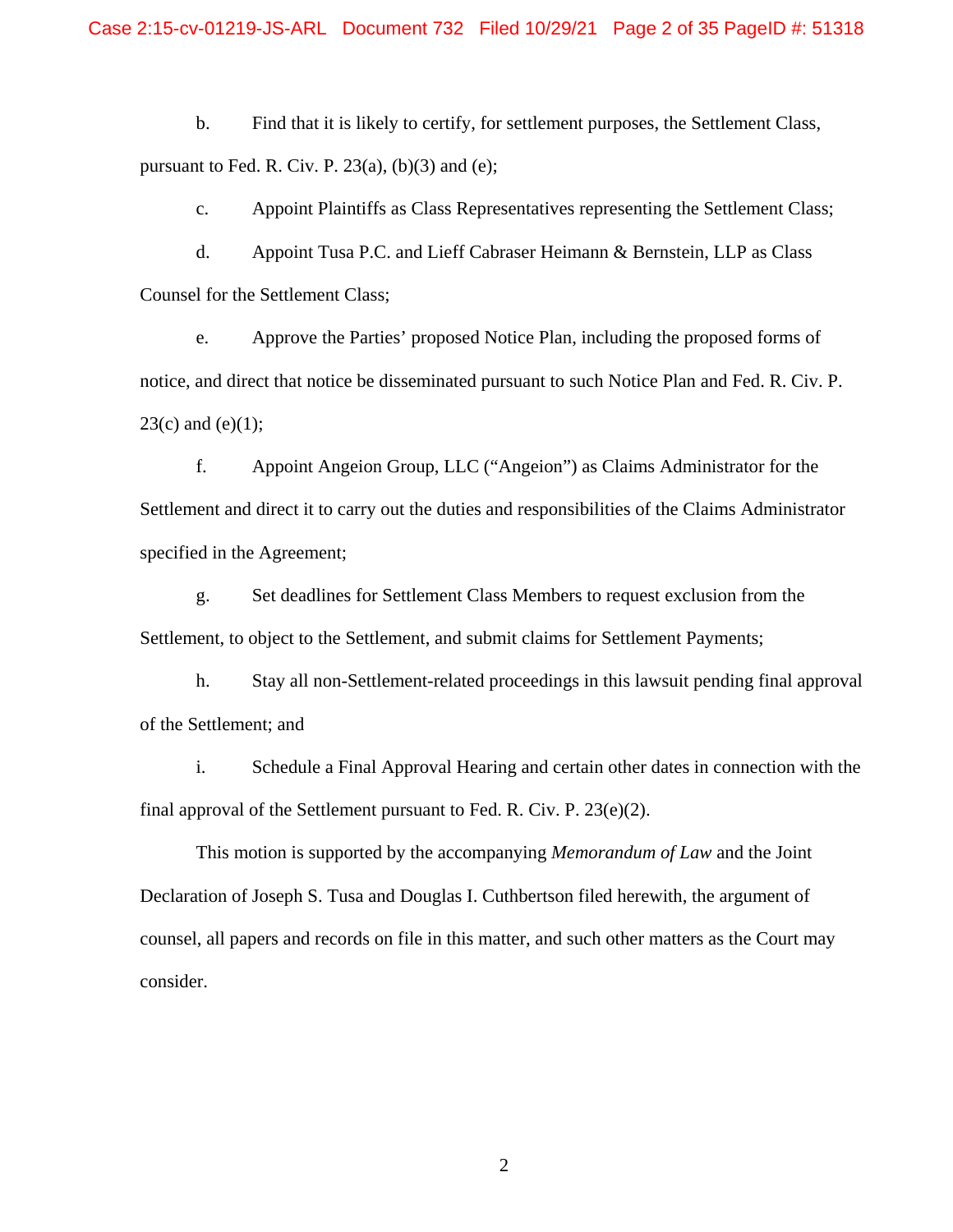b. Find that it is likely to certify, for settlement purposes, the Settlement Class, pursuant to Fed. R. Civ. P.  $23(a)$ , (b)(3) and (e);

c. Appoint Plaintiffs as Class Representatives representing the Settlement Class;

d. Appoint Tusa P.C. and Lieff Cabraser Heimann & Bernstein, LLP as Class Counsel for the Settlement Class;

e. Approve the Parties' proposed Notice Plan, including the proposed forms of notice, and direct that notice be disseminated pursuant to such Notice Plan and Fed. R. Civ. P.  $23(c)$  and (e)(1);

f. Appoint Angeion Group, LLC ("Angeion") as Claims Administrator for the Settlement and direct it to carry out the duties and responsibilities of the Claims Administrator specified in the Agreement;

g. Set deadlines for Settlement Class Members to request exclusion from the Settlement, to object to the Settlement, and submit claims for Settlement Payments;

h. Stay all non-Settlement-related proceedings in this lawsuit pending final approval of the Settlement; and

i. Schedule a Final Approval Hearing and certain other dates in connection with the final approval of the Settlement pursuant to Fed. R. Civ. P. 23(e)(2).

This motion is supported by the accompanying *Memorandum of Law* and the Joint Declaration of Joseph S. Tusa and Douglas I. Cuthbertson filed herewith, the argument of counsel, all papers and records on file in this matter, and such other matters as the Court may consider.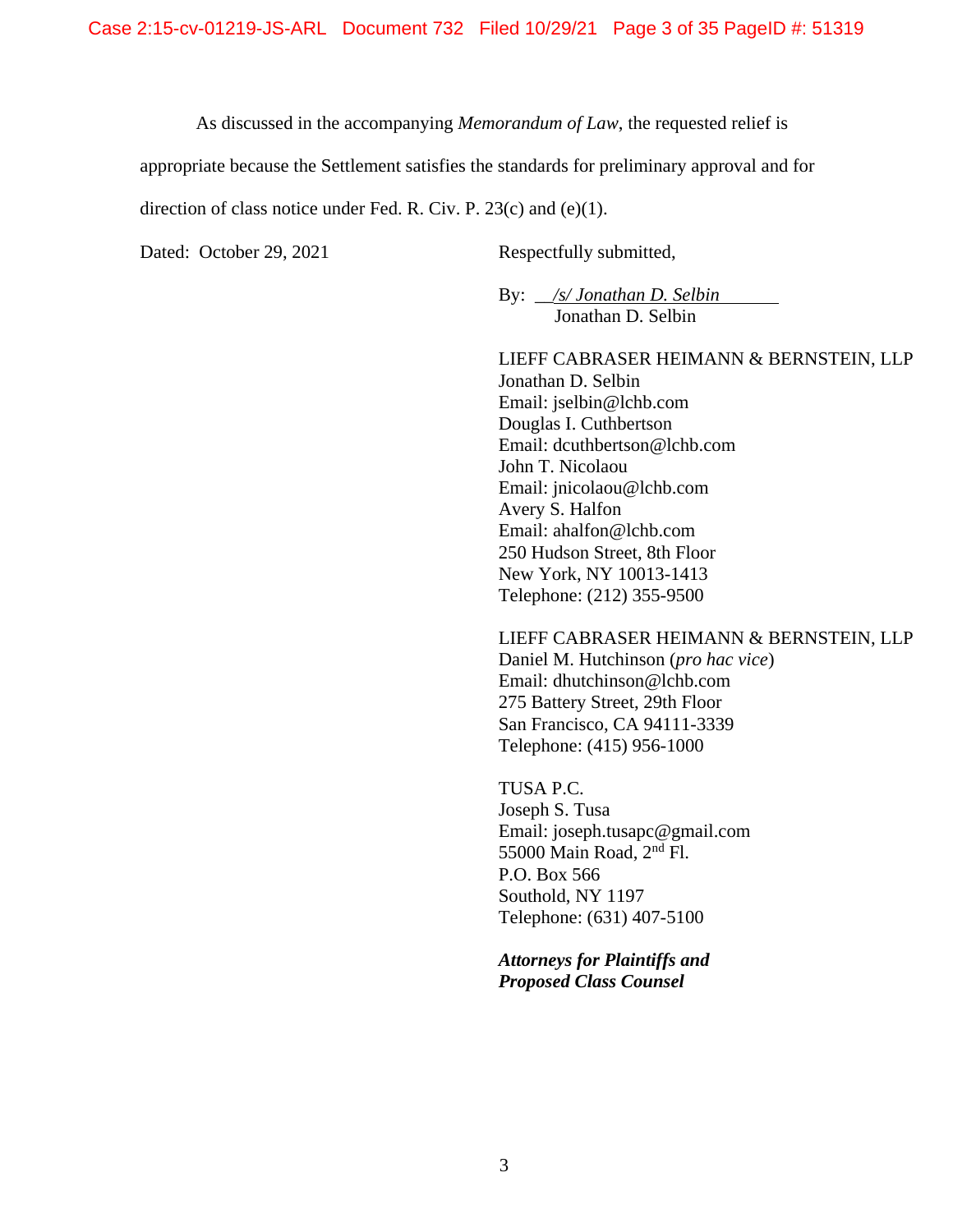As discussed in the accompanying *Memorandum of Law*, the requested relief is

appropriate because the Settlement satisfies the standards for preliminary approval and for

direction of class notice under Fed. R. Civ. P. 23(c) and (e)(1).

Dated: October 29, 2021 Respectfully submitted,

By: \_\_*/s/ Jonathan D. Selbin* Jonathan D. Selbin

LIEFF CABRASER HEIMANN & BERNSTEIN, LLP Jonathan D. Selbin Email: jselbin@lchb.com Douglas I. Cuthbertson Email: dcuthbertson@lchb.com John T. Nicolaou Email: jnicolaou@lchb.com Avery S. Halfon Email: ahalfon@lchb.com 250 Hudson Street, 8th Floor New York, NY 10013-1413 Telephone: (212) 355-9500

LIEFF CABRASER HEIMANN & BERNSTEIN, LLP Daniel M. Hutchinson (*pro hac vice*) Email: dhutchinson@lchb.com 275 Battery Street, 29th Floor San Francisco, CA 94111-3339

TUSA P.C. Joseph S. Tusa Email: joseph.tusapc@gmail.com 55000 Main Road, 2nd Fl. P.O. Box 566 Southold, NY 1197 Telephone: (631) 407-5100

Telephone: (415) 956-1000

*Attorneys for Plaintiffs and Proposed Class Counsel*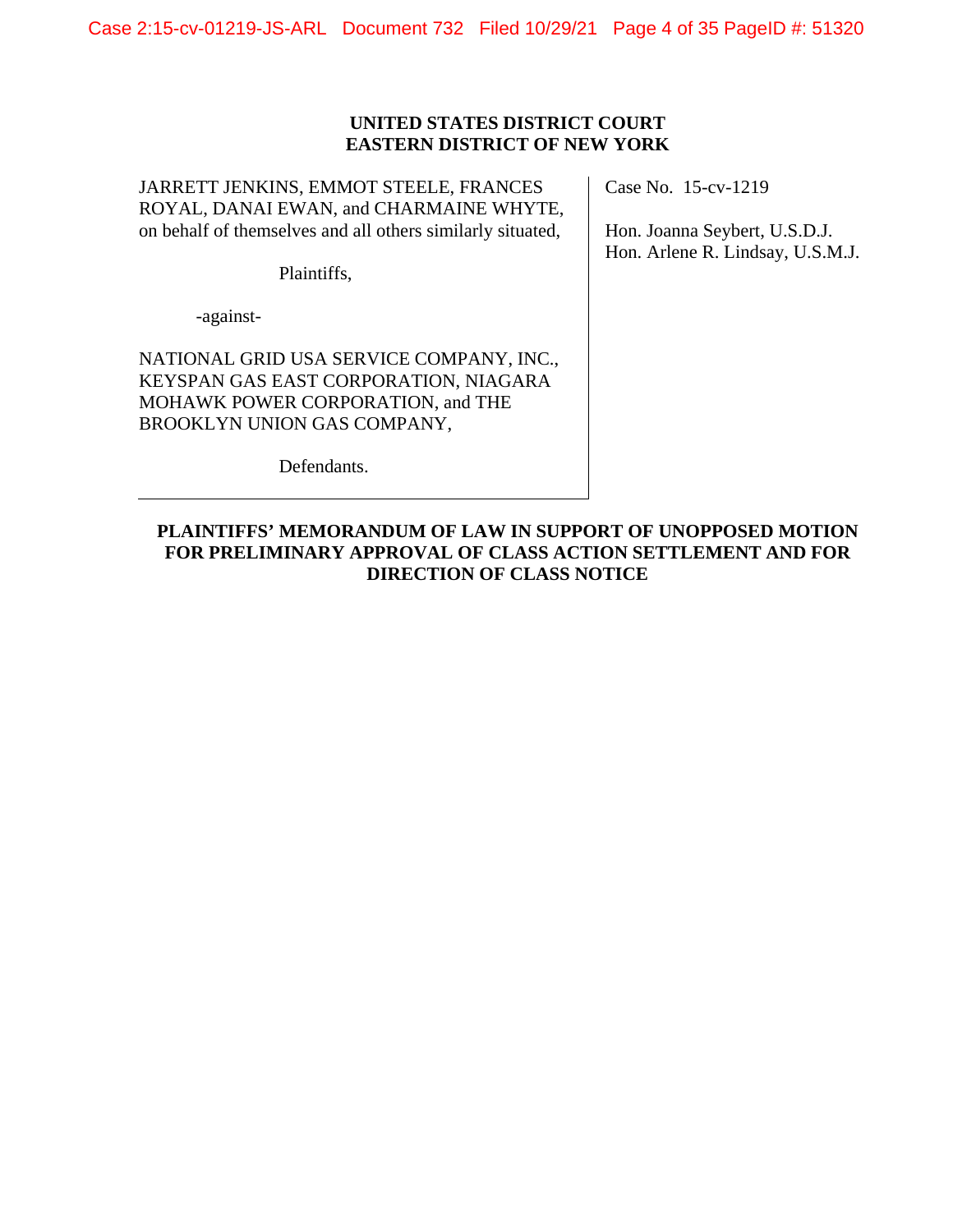Case 2:15-cv-01219-JS-ARL Document 732 Filed 10/29/21 Page 4 of 35 PageID #: 51320

# **UNITED STATES DISTRICT COURT EASTERN DISTRICT OF NEW YORK**

JARRETT JENKINS, EMMOT STEELE, FRANCES ROYAL, DANAI EWAN, and CHARMAINE WHYTE, on behalf of themselves and all others similarly situated,

Plaintiffs,

-against-

NATIONAL GRID USA SERVICE COMPANY, INC., KEYSPAN GAS EAST CORPORATION, NIAGARA MOHAWK POWER CORPORATION, and THE BROOKLYN UNION GAS COMPANY,

Defendants.

Case No. 15-cv-1219

Hon. Joanna Seybert, U.S.D.J. Hon. Arlene R. Lindsay, U.S.M.J.

# **PLAINTIFFS' MEMORANDUM OF LAW IN SUPPORT OF UNOPPOSED MOTION FOR PRELIMINARY APPROVAL OF CLASS ACTION SETTLEMENT AND FOR DIRECTION OF CLASS NOTICE**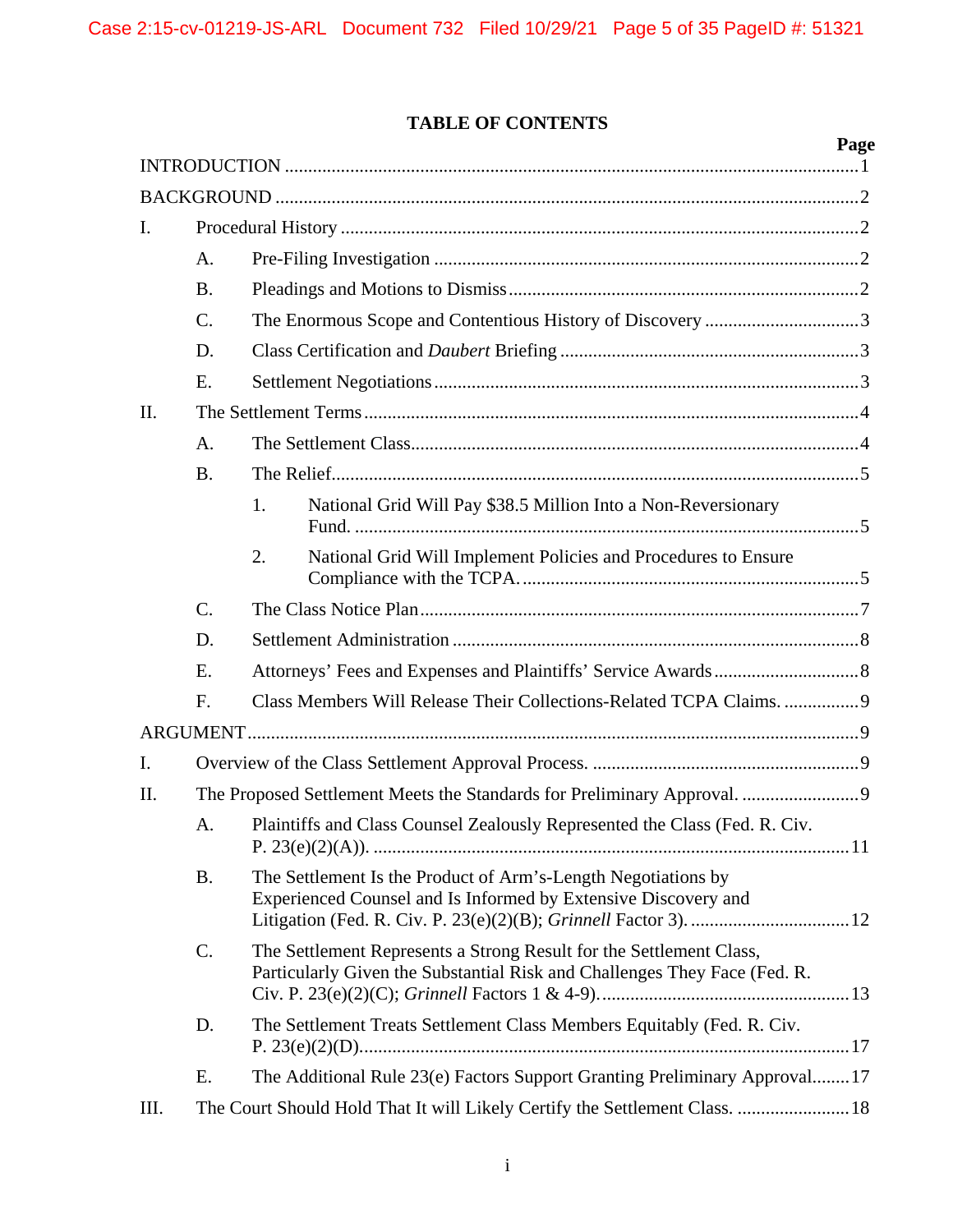# **TABLE OF CONTENTS**

|                |           |                                                                                                                                                  | Page |  |
|----------------|-----------|--------------------------------------------------------------------------------------------------------------------------------------------------|------|--|
|                |           |                                                                                                                                                  |      |  |
| Ι.             |           |                                                                                                                                                  |      |  |
|                | A.        |                                                                                                                                                  |      |  |
|                | <b>B.</b> |                                                                                                                                                  |      |  |
|                | C.        | The Enormous Scope and Contentious History of Discovery 3                                                                                        |      |  |
|                | D.        |                                                                                                                                                  |      |  |
|                | E.        |                                                                                                                                                  |      |  |
| II.            |           |                                                                                                                                                  |      |  |
|                | A.        |                                                                                                                                                  |      |  |
|                | <b>B.</b> |                                                                                                                                                  |      |  |
|                |           | National Grid Will Pay \$38.5 Million Into a Non-Reversionary<br>1.                                                                              |      |  |
|                |           | National Grid Will Implement Policies and Procedures to Ensure<br>2.                                                                             |      |  |
|                | C.        |                                                                                                                                                  |      |  |
|                | D.        |                                                                                                                                                  |      |  |
|                | E.        |                                                                                                                                                  |      |  |
|                | F.        | Class Members Will Release Their Collections-Related TCPA Claims. 9                                                                              |      |  |
|                |           |                                                                                                                                                  |      |  |
| $\mathbf{I}$ . |           |                                                                                                                                                  |      |  |
| II.            |           |                                                                                                                                                  |      |  |
|                | A.        | Plaintiffs and Class Counsel Zealously Represented the Class (Fed. R. Civ.                                                                       |      |  |
|                | <b>B.</b> | The Settlement Is the Product of Arm's-Length Negotiations by<br>Experienced Counsel and Is Informed by Extensive Discovery and                  |      |  |
|                | C.        | The Settlement Represents a Strong Result for the Settlement Class,<br>Particularly Given the Substantial Risk and Challenges They Face (Fed. R. |      |  |
|                | D.        | The Settlement Treats Settlement Class Members Equitably (Fed. R. Civ.                                                                           |      |  |
|                | Ε.        | The Additional Rule 23(e) Factors Support Granting Preliminary Approval17                                                                        |      |  |
| III.           |           | The Court Should Hold That It will Likely Certify the Settlement Class.  18                                                                      |      |  |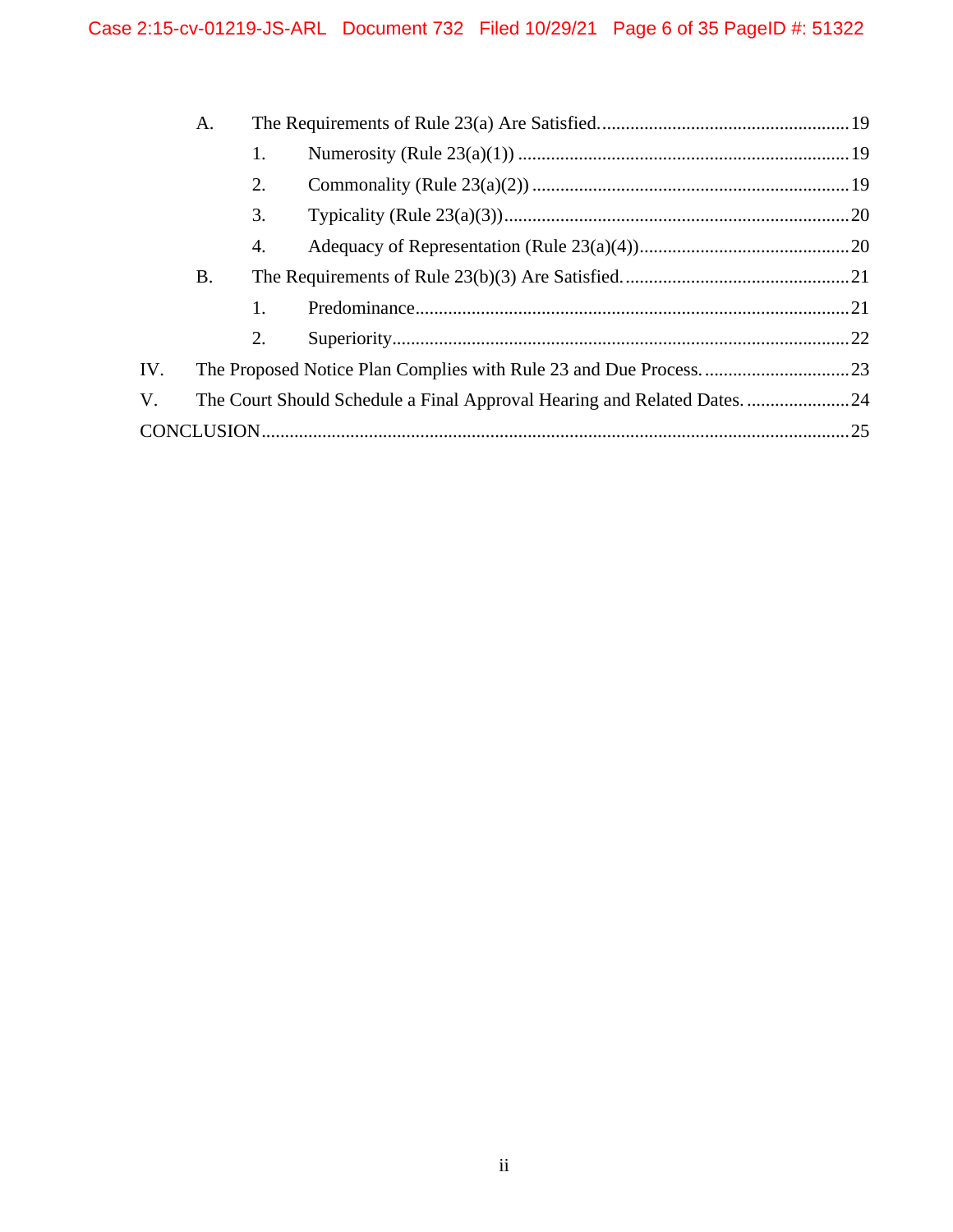|     | Α.        |    |                                                                        |  |
|-----|-----------|----|------------------------------------------------------------------------|--|
|     |           | 1. |                                                                        |  |
|     |           | 2. |                                                                        |  |
|     |           | 3. |                                                                        |  |
|     |           | 4. |                                                                        |  |
|     | <b>B.</b> |    |                                                                        |  |
|     |           | 1. |                                                                        |  |
|     |           | 2. |                                                                        |  |
| IV. |           |    |                                                                        |  |
| V.  |           |    | The Court Should Schedule a Final Approval Hearing and Related Dates24 |  |
|     |           |    |                                                                        |  |
|     |           |    |                                                                        |  |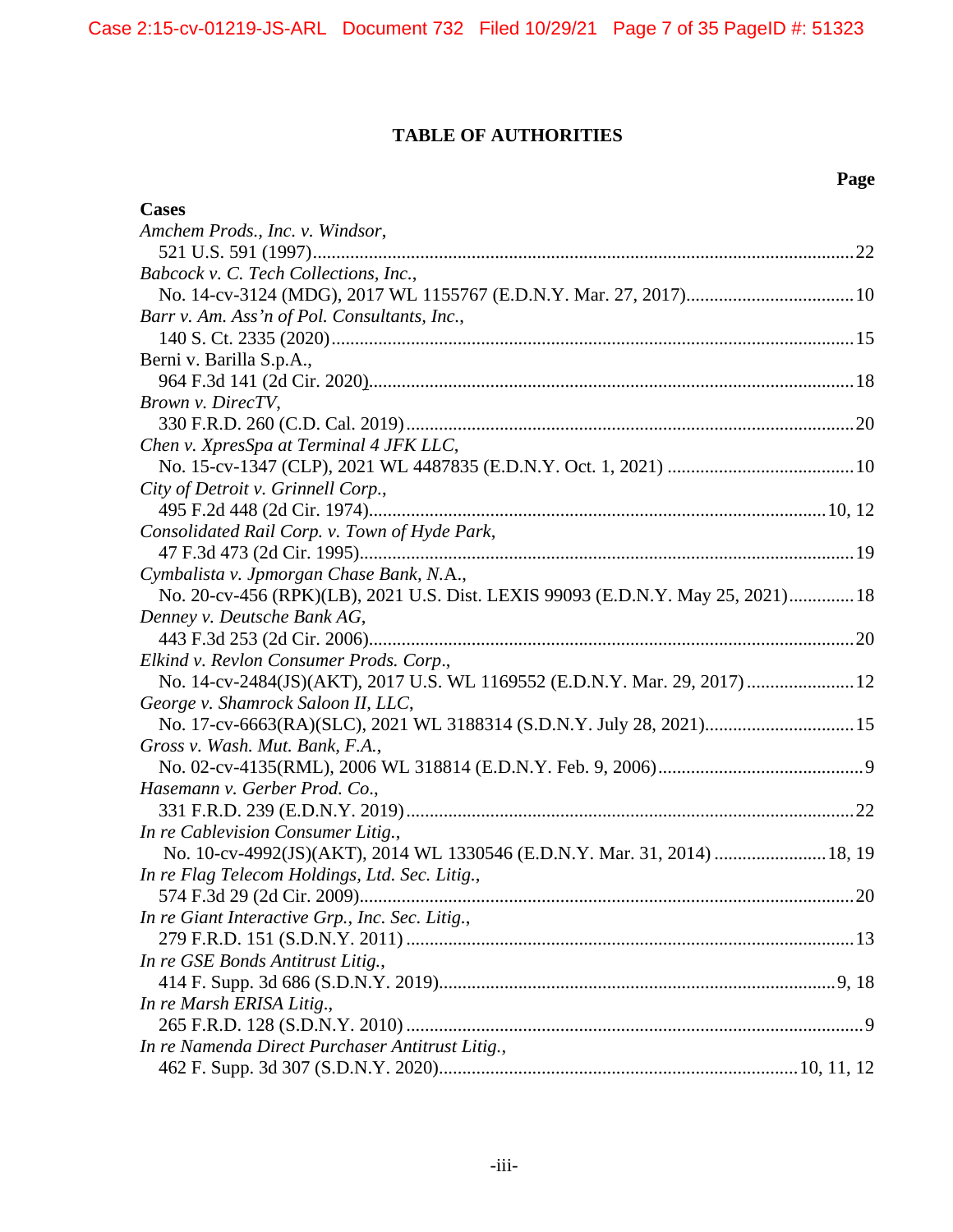# **TABLE OF AUTHORITIES**

# **Page**

| <b>Cases</b>                                                                    |
|---------------------------------------------------------------------------------|
| Amchem Prods., Inc. v. Windsor,                                                 |
|                                                                                 |
| Babcock v. C. Tech Collections, Inc.,                                           |
|                                                                                 |
| Barr v. Am. Ass'n of Pol. Consultants, Inc.,                                    |
|                                                                                 |
| Berni v. Barilla S.p.A.,                                                        |
|                                                                                 |
| Brown v. DirecTV,                                                               |
|                                                                                 |
| Chen v. XpresSpa at Terminal 4 JFK LLC,                                         |
|                                                                                 |
| City of Detroit v. Grinnell Corp.,                                              |
|                                                                                 |
| Consolidated Rail Corp. v. Town of Hyde Park,                                   |
|                                                                                 |
| Cymbalista v. Jpmorgan Chase Bank, N.A.,                                        |
| No. 20-cv-456 (RPK)(LB), 2021 U.S. Dist. LEXIS 99093 (E.D.N.Y. May 25, 2021) 18 |
| Denney v. Deutsche Bank AG,                                                     |
|                                                                                 |
| Elkind v. Revlon Consumer Prods. Corp.,                                         |
| No. 14-cv-2484(JS)(AKT), 2017 U.S. WL 1169552 (E.D.N.Y. Mar. 29, 2017)  12      |
| George v. Shamrock Saloon II, LLC,                                              |
| No. 17-cv-6663(RA)(SLC), 2021 WL 3188314 (S.D.N.Y. July 28, 2021) 15            |
| Gross v. Wash. Mut. Bank, F.A.,                                                 |
|                                                                                 |
| Hasemann v. Gerber Prod. Co.,                                                   |
|                                                                                 |
| In re Cablevision Consumer Litig.,                                              |
| No. 10-cv-4992(JS)(AKT), 2014 WL 1330546 (E.D.N.Y. Mar. 31, 2014)  18, 19       |
| In re Flag Telecom Holdings, Ltd. Sec. Litig.,                                  |
| 574 F.3d 29 (2d Cir. 2009)<br>$\dots 20$                                        |
| In re Giant Interactive Grp., Inc. Sec. Litig.,                                 |
|                                                                                 |
| In re GSE Bonds Antitrust Litig.,                                               |
|                                                                                 |
| In re Marsh ERISA Litig.,                                                       |
|                                                                                 |
| In re Namenda Direct Purchaser Antitrust Litig.,                                |
|                                                                                 |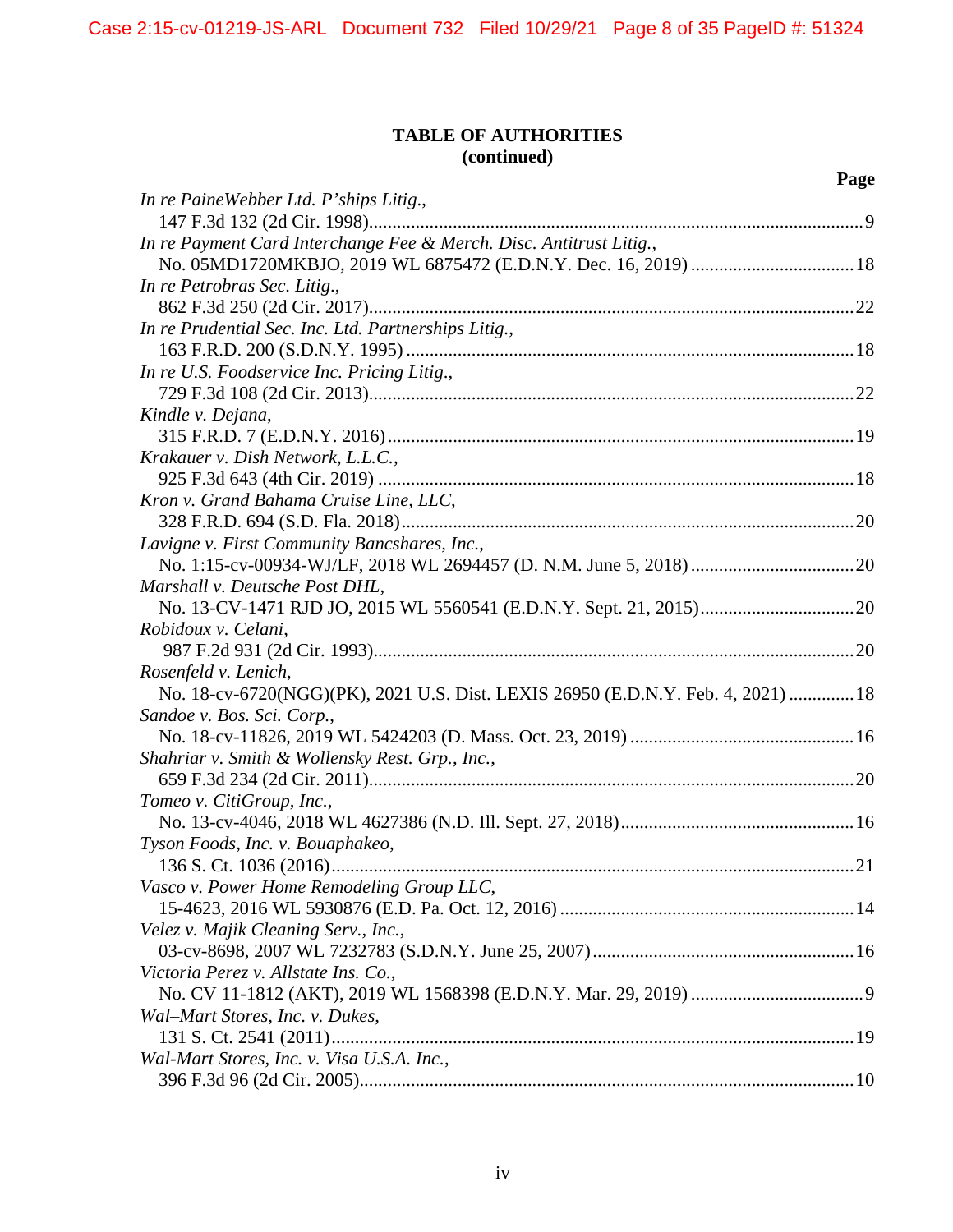# **TABLE OF AUTHORITIES (continued)**

|                                                                                  | Page |
|----------------------------------------------------------------------------------|------|
| In re PaineWebber Ltd. P'ships Litig.,                                           |      |
|                                                                                  |      |
| In re Payment Card Interchange Fee & Merch. Disc. Antitrust Litig.,              |      |
| No. 05MD1720MKBJO, 2019 WL 6875472 (E.D.N.Y. Dec. 16, 2019)  18                  |      |
| In re Petrobras Sec. Litig.,                                                     |      |
|                                                                                  |      |
| In re Prudential Sec. Inc. Ltd. Partnerships Litig.,                             |      |
|                                                                                  |      |
| In re U.S. Foodservice Inc. Pricing Litig.,                                      |      |
|                                                                                  |      |
| Kindle v. Dejana,                                                                |      |
|                                                                                  |      |
| Krakauer v. Dish Network, L.L.C.,                                                |      |
|                                                                                  |      |
| Kron v. Grand Bahama Cruise Line, LLC,                                           |      |
|                                                                                  |      |
| Lavigne v. First Community Bancshares, Inc.,                                     |      |
|                                                                                  |      |
| Marshall v. Deutsche Post DHL,                                                   |      |
|                                                                                  |      |
| Robidoux v. Celani,                                                              |      |
|                                                                                  |      |
| Rosenfeld v. Lenich,                                                             |      |
| No. 18-cv-6720(NGG)(PK), 2021 U.S. Dist. LEXIS 26950 (E.D.N.Y. Feb. 4, 2021)  18 |      |
| Sandoe v. Bos. Sci. Corp.,                                                       |      |
|                                                                                  |      |
| Shahriar v. Smith & Wollensky Rest. Grp., Inc.,                                  |      |
|                                                                                  |      |
| Tomeo v. CitiGroup, Inc.,                                                        |      |
|                                                                                  |      |
| Tyson Foods, Inc. v. Bouaphakeo,                                                 |      |
|                                                                                  |      |
| Vasco v. Power Home Remodeling Group LLC,                                        |      |
|                                                                                  |      |
| Velez v. Majik Cleaning Serv., Inc.,                                             |      |
|                                                                                  |      |
| Victoria Perez v. Allstate Ins. Co.,                                             |      |
|                                                                                  |      |
| Wal-Mart Stores, Inc. v. Dukes,                                                  |      |
|                                                                                  |      |
| Wal-Mart Stores, Inc. v. Visa U.S.A. Inc.,                                       |      |
|                                                                                  |      |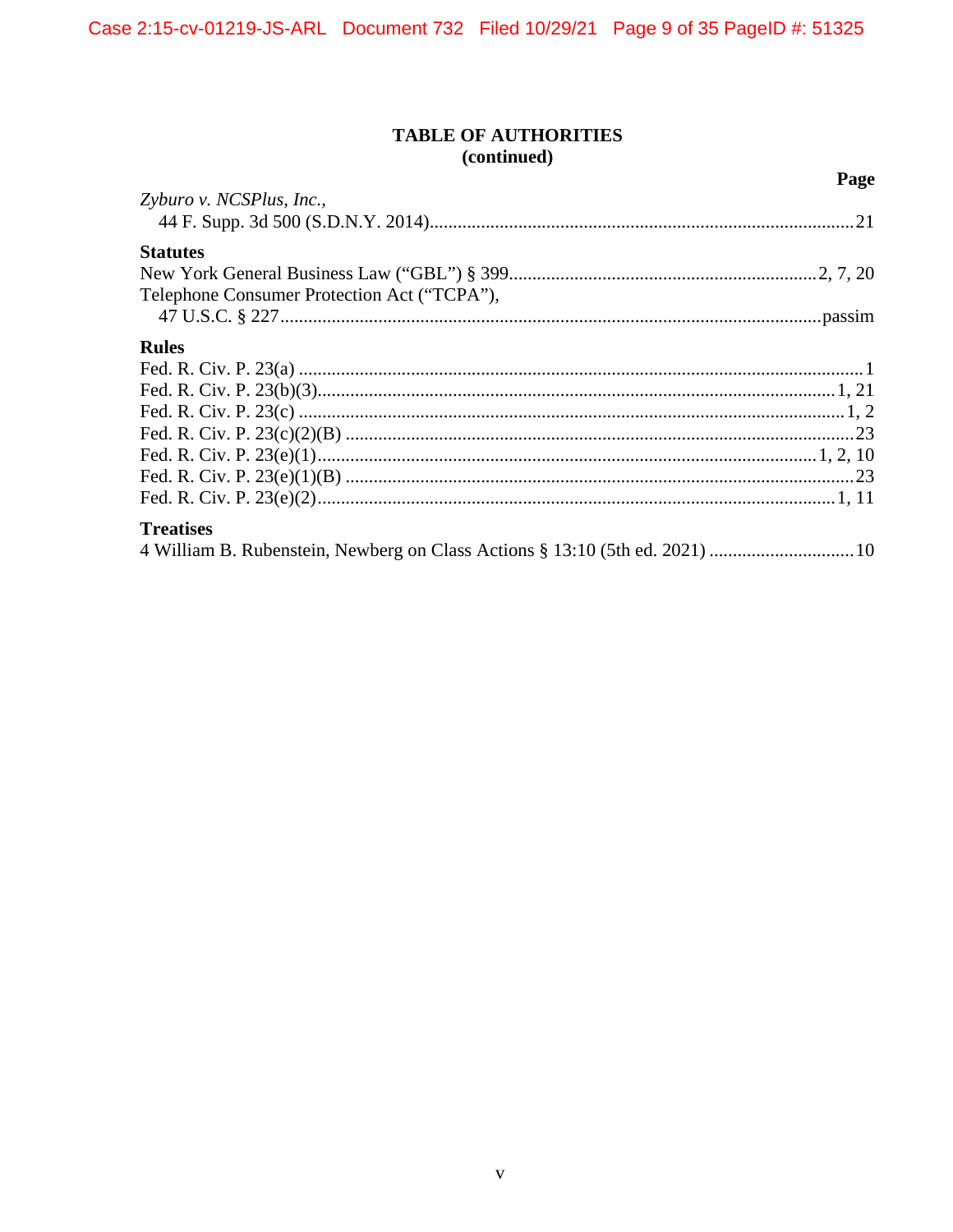# **TABLE OF AUTHORITIES** (continued)

Page

| Zyburo v. NCSPlus, Inc.,                    |  |
|---------------------------------------------|--|
|                                             |  |
| <b>Statutes</b>                             |  |
|                                             |  |
| Telephone Consumer Protection Act ("TCPA"), |  |
|                                             |  |
| <b>Rules</b>                                |  |
|                                             |  |
|                                             |  |
|                                             |  |
|                                             |  |
|                                             |  |
|                                             |  |
|                                             |  |
| <b>Treatises</b>                            |  |
|                                             |  |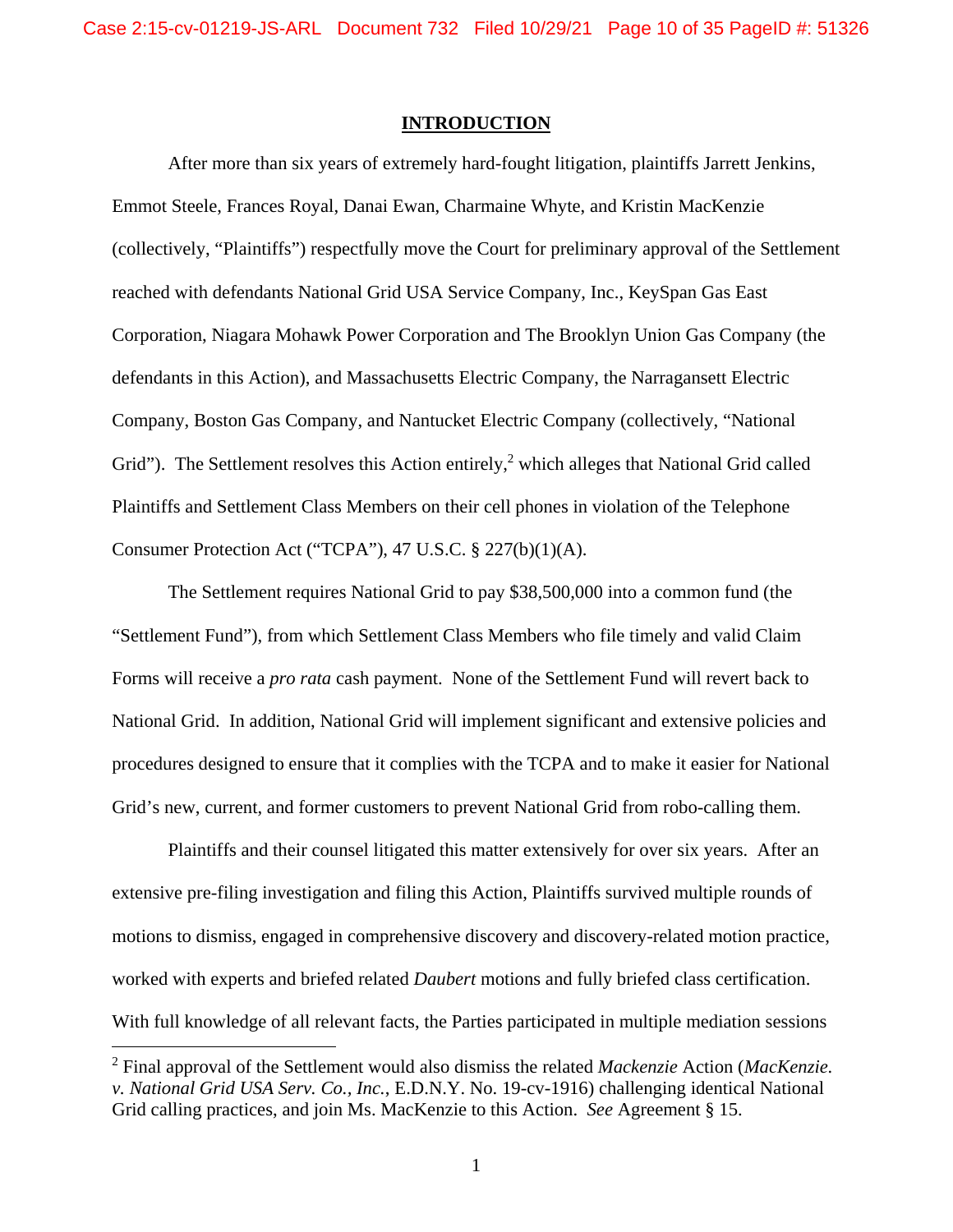#### **INTRODUCTION**

After more than six years of extremely hard-fought litigation, plaintiffs Jarrett Jenkins, Emmot Steele, Frances Royal, Danai Ewan, Charmaine Whyte, and Kristin MacKenzie (collectively, "Plaintiffs") respectfully move the Court for preliminary approval of the Settlement reached with defendants National Grid USA Service Company, Inc., KeySpan Gas East Corporation, Niagara Mohawk Power Corporation and The Brooklyn Union Gas Company (the defendants in this Action), and Massachusetts Electric Company, the Narragansett Electric Company, Boston Gas Company, and Nantucket Electric Company (collectively, "National Grid"). The Settlement resolves this Action entirely,<sup>2</sup> which alleges that National Grid called Plaintiffs and Settlement Class Members on their cell phones in violation of the Telephone Consumer Protection Act ("TCPA"), 47 U.S.C. § 227(b)(1)(A).

The Settlement requires National Grid to pay \$38,500,000 into a common fund (the "Settlement Fund"), from which Settlement Class Members who file timely and valid Claim Forms will receive a *pro rata* cash payment. None of the Settlement Fund will revert back to National Grid. In addition, National Grid will implement significant and extensive policies and procedures designed to ensure that it complies with the TCPA and to make it easier for National Grid's new, current, and former customers to prevent National Grid from robo-calling them.

Plaintiffs and their counsel litigated this matter extensively for over six years. After an extensive pre-filing investigation and filing this Action, Plaintiffs survived multiple rounds of motions to dismiss, engaged in comprehensive discovery and discovery-related motion practice, worked with experts and briefed related *Daubert* motions and fully briefed class certification. With full knowledge of all relevant facts, the Parties participated in multiple mediation sessions

 $\overline{a}$ 

<sup>2</sup> Final approval of the Settlement would also dismiss the related *Mackenzie* Action (*MacKenzie. v. National Grid USA Serv. Co., Inc.*, E.D.N.Y. No. 19-cv-1916) challenging identical National Grid calling practices, and join Ms. MacKenzie to this Action. *See* Agreement § 15.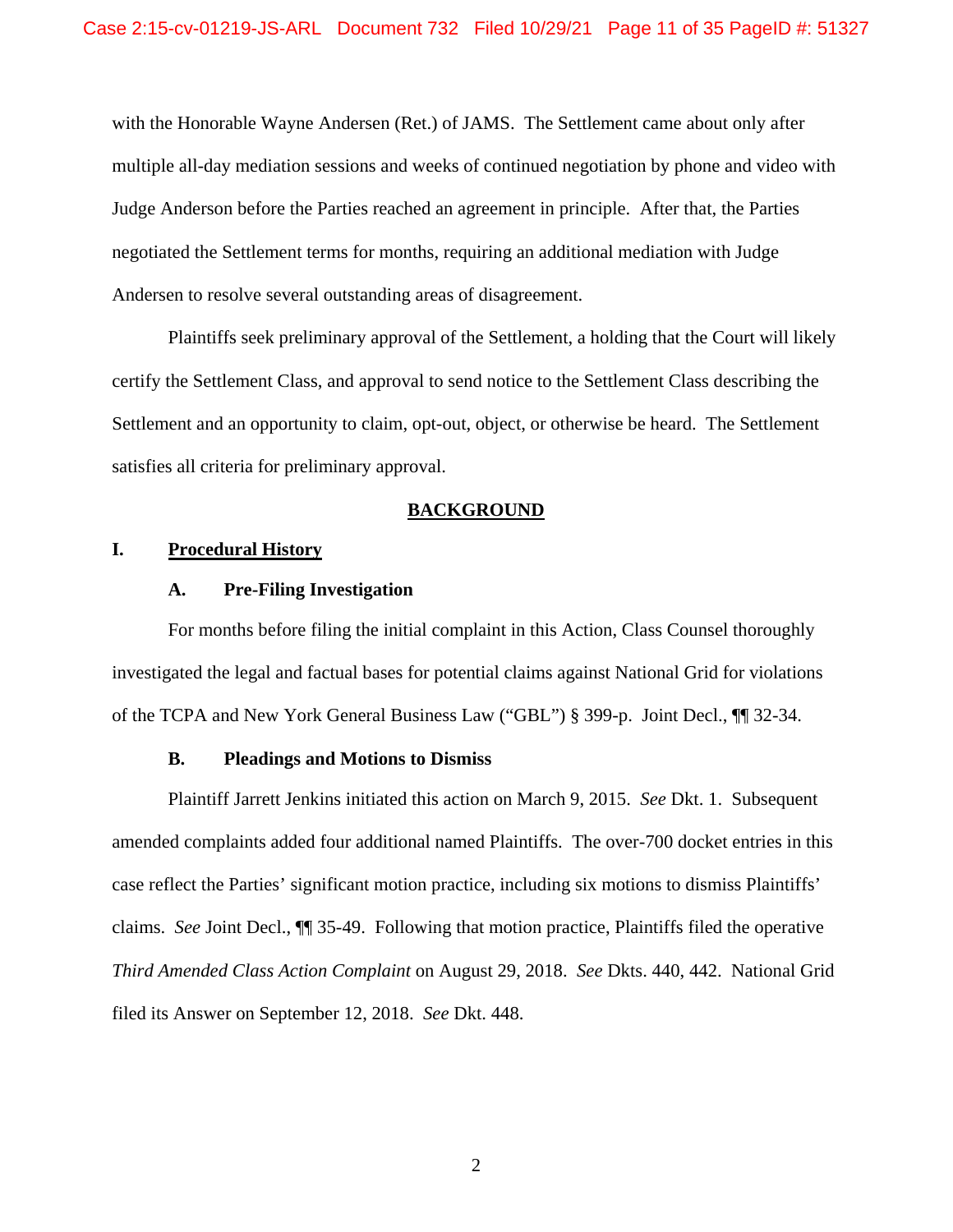with the Honorable Wayne Andersen (Ret.) of JAMS. The Settlement came about only after multiple all-day mediation sessions and weeks of continued negotiation by phone and video with Judge Anderson before the Parties reached an agreement in principle. After that, the Parties negotiated the Settlement terms for months, requiring an additional mediation with Judge Andersen to resolve several outstanding areas of disagreement.

Plaintiffs seek preliminary approval of the Settlement, a holding that the Court will likely certify the Settlement Class, and approval to send notice to the Settlement Class describing the Settlement and an opportunity to claim, opt-out, object, or otherwise be heard. The Settlement satisfies all criteria for preliminary approval.

#### **BACKGROUND**

# **I. Procedural History**

## **A. Pre-Filing Investigation**

For months before filing the initial complaint in this Action, Class Counsel thoroughly investigated the legal and factual bases for potential claims against National Grid for violations of the TCPA and New York General Business Law ("GBL") § 399-p. Joint Decl., ¶¶ 32-34.

#### **B. Pleadings and Motions to Dismiss**

Plaintiff Jarrett Jenkins initiated this action on March 9, 2015. *See* Dkt. 1. Subsequent amended complaints added four additional named Plaintiffs. The over-700 docket entries in this case reflect the Parties' significant motion practice, including six motions to dismiss Plaintiffs' claims. *See* Joint Decl., ¶¶ 35-49. Following that motion practice, Plaintiffs filed the operative *Third Amended Class Action Complaint* on August 29, 2018. *See* Dkts. 440, 442. National Grid filed its Answer on September 12, 2018. *See* Dkt. 448.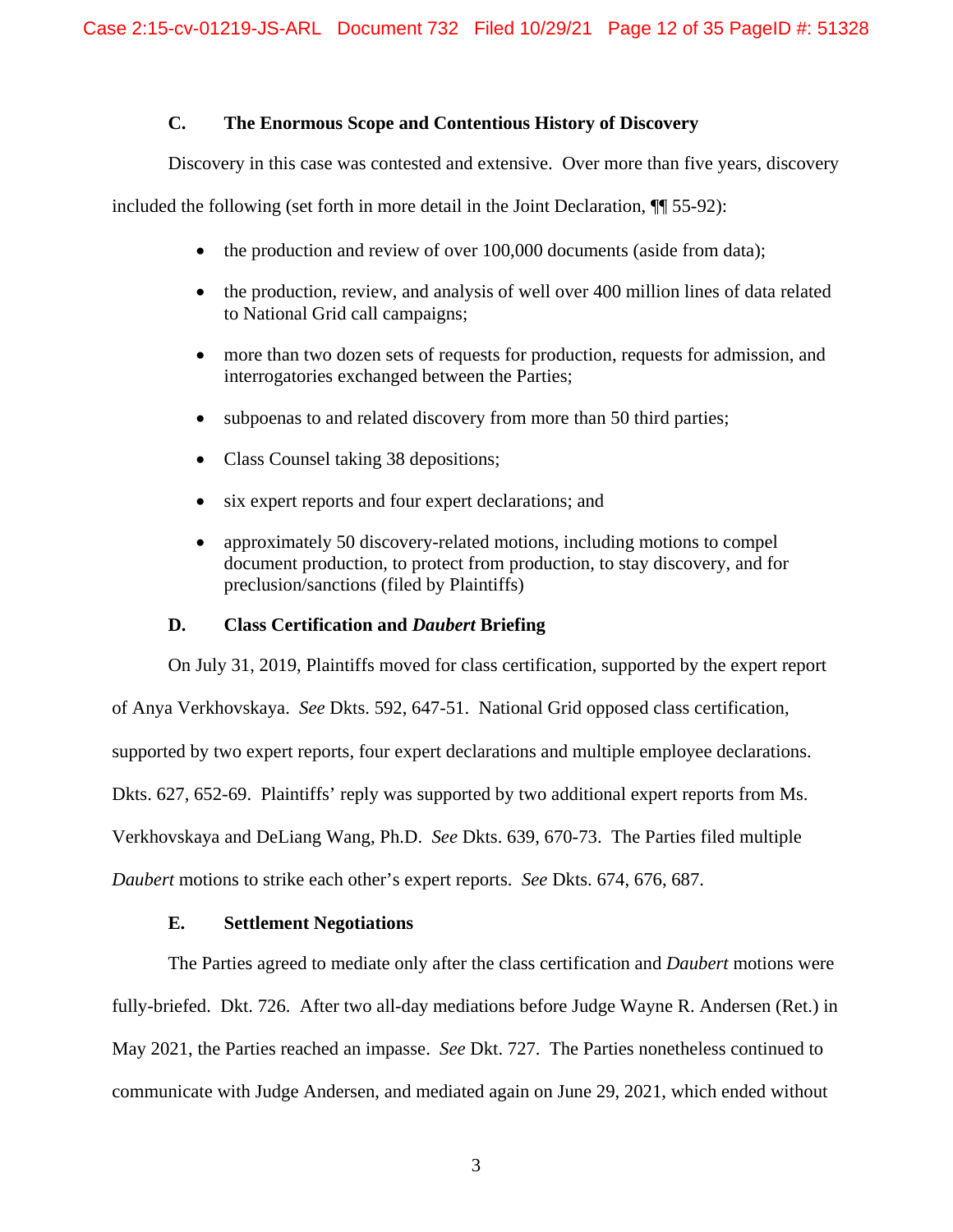# **C. The Enormous Scope and Contentious History of Discovery**

Discovery in this case was contested and extensive. Over more than five years, discovery

included the following (set forth in more detail in the Joint Declaration, ¶¶ 55-92):

- $\bullet$  the production and review of over 100,000 documents (aside from data);
- the production, review, and analysis of well over 400 million lines of data related to National Grid call campaigns;
- more than two dozen sets of requests for production, requests for admission, and interrogatories exchanged between the Parties;
- subpoenas to and related discovery from more than 50 third parties;
- Class Counsel taking 38 depositions;
- six expert reports and four expert declarations; and
- approximately 50 discovery-related motions, including motions to compel document production, to protect from production, to stay discovery, and for preclusion/sanctions (filed by Plaintiffs)

### **D. Class Certification and** *Daubert* **Briefing**

On July 31, 2019, Plaintiffs moved for class certification, supported by the expert report

of Anya Verkhovskaya. *See* Dkts. 592, 647-51. National Grid opposed class certification,

supported by two expert reports, four expert declarations and multiple employee declarations.

Dkts. 627, 652-69. Plaintiffs' reply was supported by two additional expert reports from Ms.

Verkhovskaya and DeLiang Wang, Ph.D. *See* Dkts. 639, 670-73. The Parties filed multiple

*Daubert* motions to strike each other's expert reports. *See* Dkts. 674, 676, 687.

## **E. Settlement Negotiations**

The Parties agreed to mediate only after the class certification and *Daubert* motions were fully-briefed. Dkt. 726. After two all-day mediations before Judge Wayne R. Andersen (Ret.) in May 2021, the Parties reached an impasse. *See* Dkt. 727. The Parties nonetheless continued to communicate with Judge Andersen, and mediated again on June 29, 2021, which ended without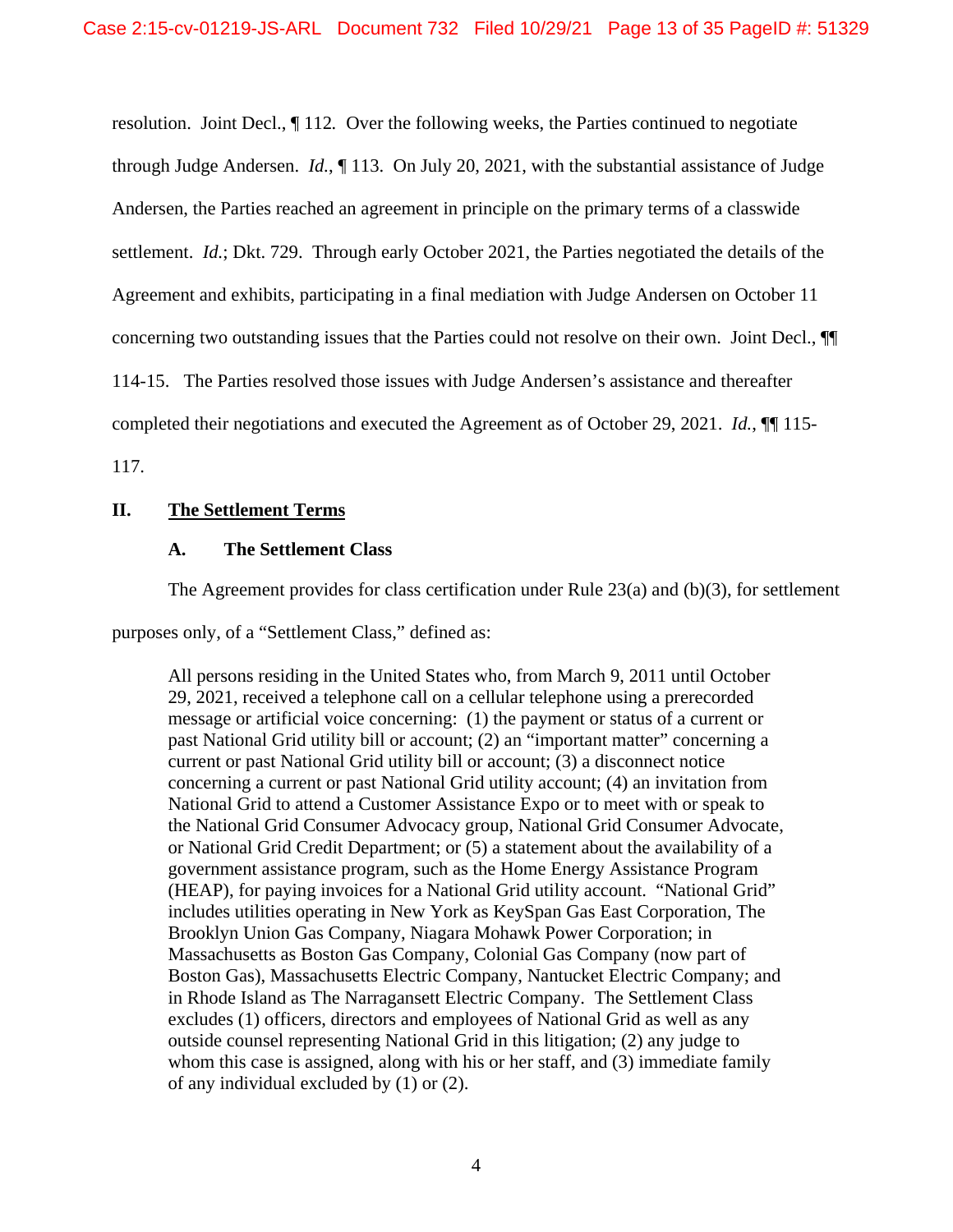resolution. Joint Decl., ¶ 112*.* Over the following weeks, the Parties continued to negotiate through Judge Andersen. *Id.*, ¶ 113. On July 20, 2021, with the substantial assistance of Judge Andersen, the Parties reached an agreement in principle on the primary terms of a classwide settlement. *Id.*; Dkt. 729. Through early October 2021, the Parties negotiated the details of the Agreement and exhibits, participating in a final mediation with Judge Andersen on October 11 concerning two outstanding issues that the Parties could not resolve on their own. Joint Decl., ¶¶ 114-15. The Parties resolved those issues with Judge Andersen's assistance and thereafter completed their negotiations and executed the Agreement as of October 29, 2021. *Id.*, **¶** 115-

117.

# **II. The Settlement Terms**

### **A. The Settlement Class**

The Agreement provides for class certification under Rule 23(a) and (b)(3), for settlement

purposes only, of a "Settlement Class," defined as:

All persons residing in the United States who, from March 9, 2011 until October 29, 2021, received a telephone call on a cellular telephone using a prerecorded message or artificial voice concerning: (1) the payment or status of a current or past National Grid utility bill or account; (2) an "important matter" concerning a current or past National Grid utility bill or account; (3) a disconnect notice concerning a current or past National Grid utility account; (4) an invitation from National Grid to attend a Customer Assistance Expo or to meet with or speak to the National Grid Consumer Advocacy group, National Grid Consumer Advocate, or National Grid Credit Department; or (5) a statement about the availability of a government assistance program, such as the Home Energy Assistance Program (HEAP), for paying invoices for a National Grid utility account. "National Grid" includes utilities operating in New York as KeySpan Gas East Corporation, The Brooklyn Union Gas Company, Niagara Mohawk Power Corporation; in Massachusetts as Boston Gas Company, Colonial Gas Company (now part of Boston Gas), Massachusetts Electric Company, Nantucket Electric Company; and in Rhode Island as The Narragansett Electric Company. The Settlement Class excludes (1) officers, directors and employees of National Grid as well as any outside counsel representing National Grid in this litigation; (2) any judge to whom this case is assigned, along with his or her staff, and (3) immediate family of any individual excluded by (1) or (2).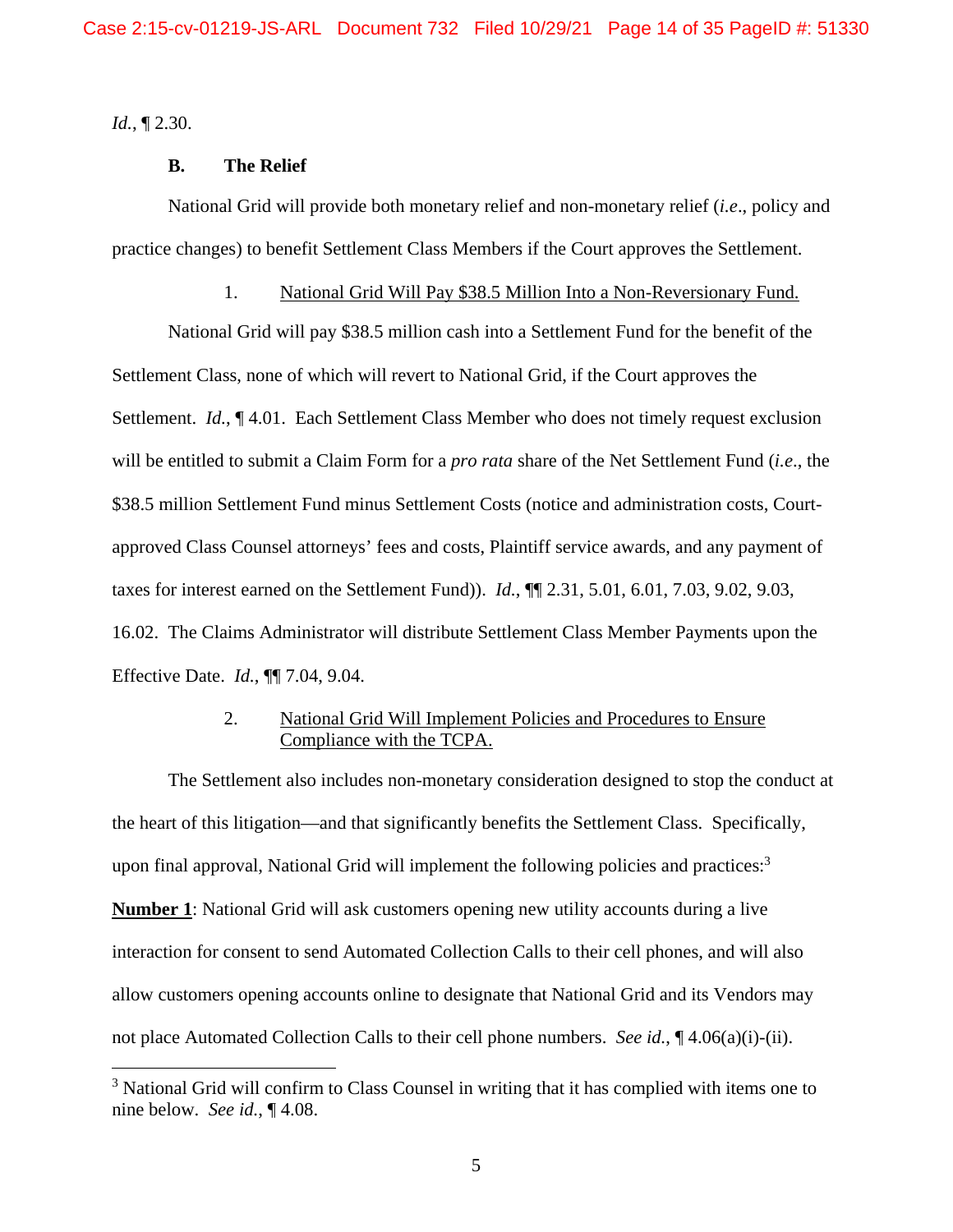*Id.*, ¶ 2.30.

 $\overline{a}$ 

## **B. The Relief**

National Grid will provide both monetary relief and non-monetary relief (*i.e*., policy and practice changes) to benefit Settlement Class Members if the Court approves the Settlement.

## 1. National Grid Will Pay \$38.5 Million Into a Non-Reversionary Fund.

National Grid will pay \$38.5 million cash into a Settlement Fund for the benefit of the Settlement Class, none of which will revert to National Grid, if the Court approves the Settlement. *Id.*, ¶ 4.01. Each Settlement Class Member who does not timely request exclusion will be entitled to submit a Claim Form for a *pro rata* share of the Net Settlement Fund (*i.e*., the \$38.5 million Settlement Fund minus Settlement Costs (notice and administration costs, Courtapproved Class Counsel attorneys' fees and costs, Plaintiff service awards, and any payment of taxes for interest earned on the Settlement Fund)). *Id.*, ¶¶ 2.31, 5.01, 6.01, 7.03, 9.02, 9.03, 16.02. The Claims Administrator will distribute Settlement Class Member Payments upon the Effective Date. *Id.*, ¶¶ 7.04, 9.04.

# 2. National Grid Will Implement Policies and Procedures to Ensure Compliance with the TCPA.

The Settlement also includes non-monetary consideration designed to stop the conduct at the heart of this litigation—and that significantly benefits the Settlement Class. Specifically, upon final approval, National Grid will implement the following policies and practices:<sup>3</sup> **Number 1**: National Grid will ask customers opening new utility accounts during a live interaction for consent to send Automated Collection Calls to their cell phones, and will also allow customers opening accounts online to designate that National Grid and its Vendors may not place Automated Collection Calls to their cell phone numbers. *See id.*, ¶ 4.06(a)(i)-(ii).

<sup>&</sup>lt;sup>3</sup> National Grid will confirm to Class Counsel in writing that it has complied with items one to nine below. *See id.*, ¶ 4.08.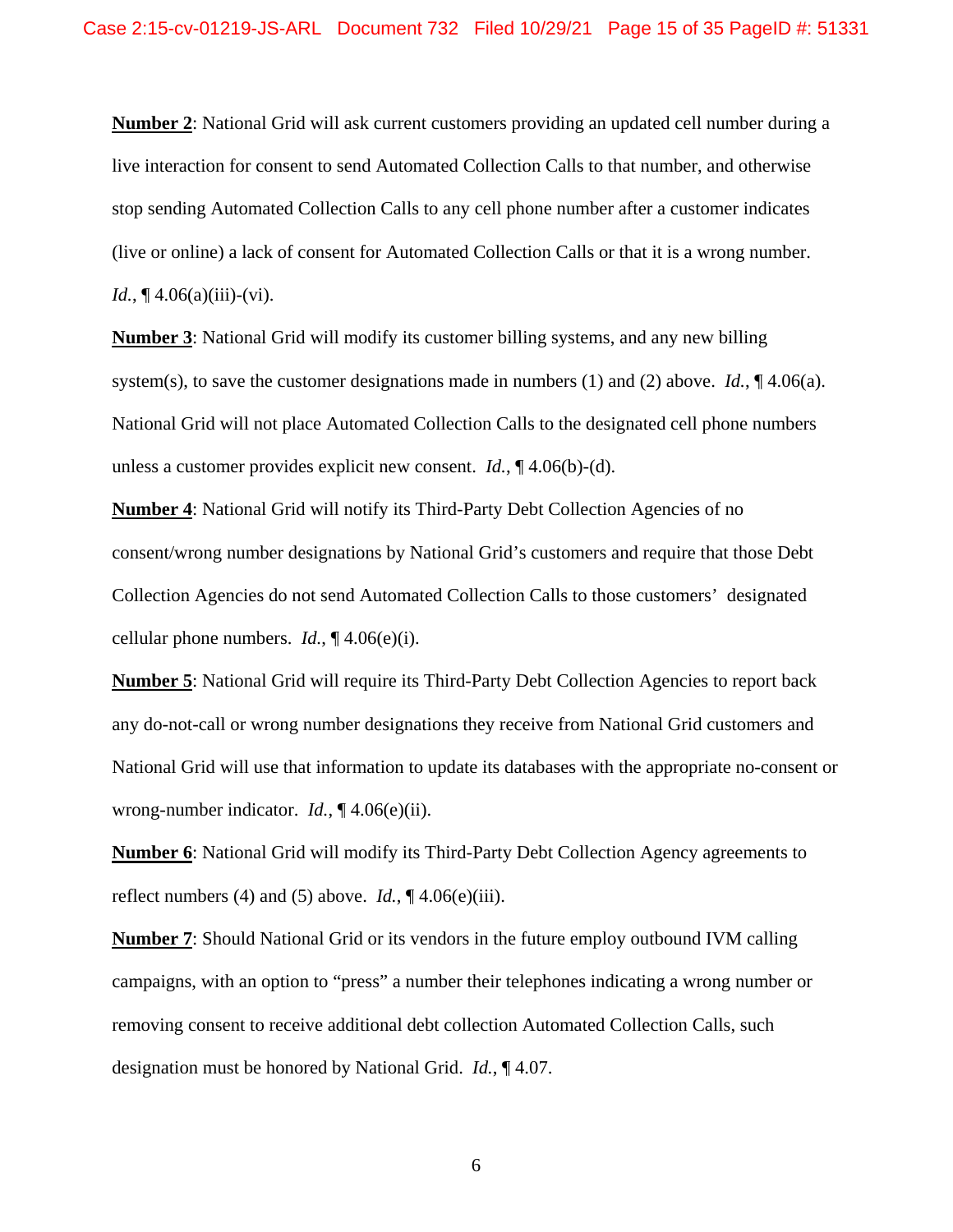**Number 2**: National Grid will ask current customers providing an updated cell number during a live interaction for consent to send Automated Collection Calls to that number, and otherwise stop sending Automated Collection Calls to any cell phone number after a customer indicates (live or online) a lack of consent for Automated Collection Calls or that it is a wrong number. *Id.*,  $\P$  4.06(a)(iii)-(vi).

**Number 3**: National Grid will modify its customer billing systems, and any new billing system(s), to save the customer designations made in numbers (1) and (2) above. *Id.*,  $\P$  4.06(a). National Grid will not place Automated Collection Calls to the designated cell phone numbers unless a customer provides explicit new consent. *Id.*, ¶ 4.06(b)-(d).

**Number 4**: National Grid will notify its Third-Party Debt Collection Agencies of no consent/wrong number designations by National Grid's customers and require that those Debt Collection Agencies do not send Automated Collection Calls to those customers' designated cellular phone numbers. *Id.*, ¶ 4.06(e)(i).

**Number 5**: National Grid will require its Third-Party Debt Collection Agencies to report back any do-not-call or wrong number designations they receive from National Grid customers and National Grid will use that information to update its databases with the appropriate no-consent or wrong-number indicator. *Id.*, ¶ 4.06(e)(ii).

**Number 6**: National Grid will modify its Third-Party Debt Collection Agency agreements to reflect numbers (4) and (5) above. *Id.*,  $\P$  4.06(e)(iii).

**Number 7**: Should National Grid or its vendors in the future employ outbound IVM calling campaigns, with an option to "press" a number their telephones indicating a wrong number or removing consent to receive additional debt collection Automated Collection Calls, such designation must be honored by National Grid. *Id.*, ¶ 4.07.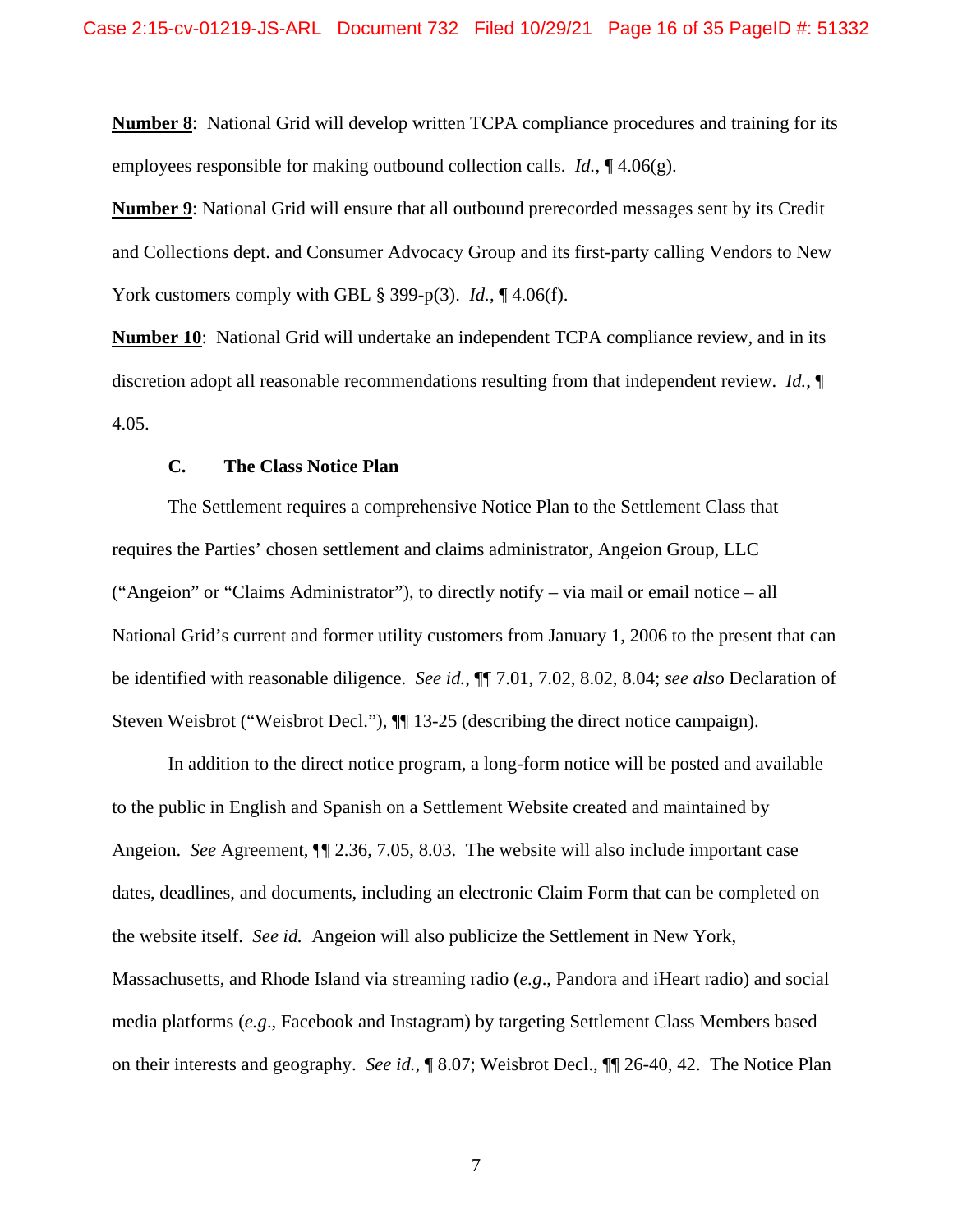**Number 8**: National Grid will develop written TCPA compliance procedures and training for its employees responsible for making outbound collection calls. *Id.*, ¶ 4.06(g).

**Number 9**: National Grid will ensure that all outbound prerecorded messages sent by its Credit and Collections dept. and Consumer Advocacy Group and its first-party calling Vendors to New York customers comply with GBL § 399-p(3). *Id.*, ¶ 4.06(f).

**Number 10**: National Grid will undertake an independent TCPA compliance review, and in its discretion adopt all reasonable recommendations resulting from that independent review. *Id.*, ¶ 4.05.

### **C. The Class Notice Plan**

The Settlement requires a comprehensive Notice Plan to the Settlement Class that requires the Parties' chosen settlement and claims administrator, Angeion Group, LLC ("Angeion" or "Claims Administrator"), to directly notify – via mail or email notice – all National Grid's current and former utility customers from January 1, 2006 to the present that can be identified with reasonable diligence. *See id.*, ¶¶ 7.01, 7.02, 8.02, 8.04; *see also* Declaration of Steven Weisbrot ("Weisbrot Decl."),  $\P$ [13-25 (describing the direct notice campaign).

In addition to the direct notice program, a long-form notice will be posted and available to the public in English and Spanish on a Settlement Website created and maintained by Angeion. *See* Agreement, ¶¶ 2.36, 7.05, 8.03. The website will also include important case dates, deadlines, and documents, including an electronic Claim Form that can be completed on the website itself. *See id.* Angeion will also publicize the Settlement in New York, Massachusetts, and Rhode Island via streaming radio (*e.g*., Pandora and iHeart radio) and social media platforms (*e.g*., Facebook and Instagram) by targeting Settlement Class Members based on their interests and geography. *See id.,* ¶ 8.07; Weisbrot Decl., ¶¶ 26-40, 42. The Notice Plan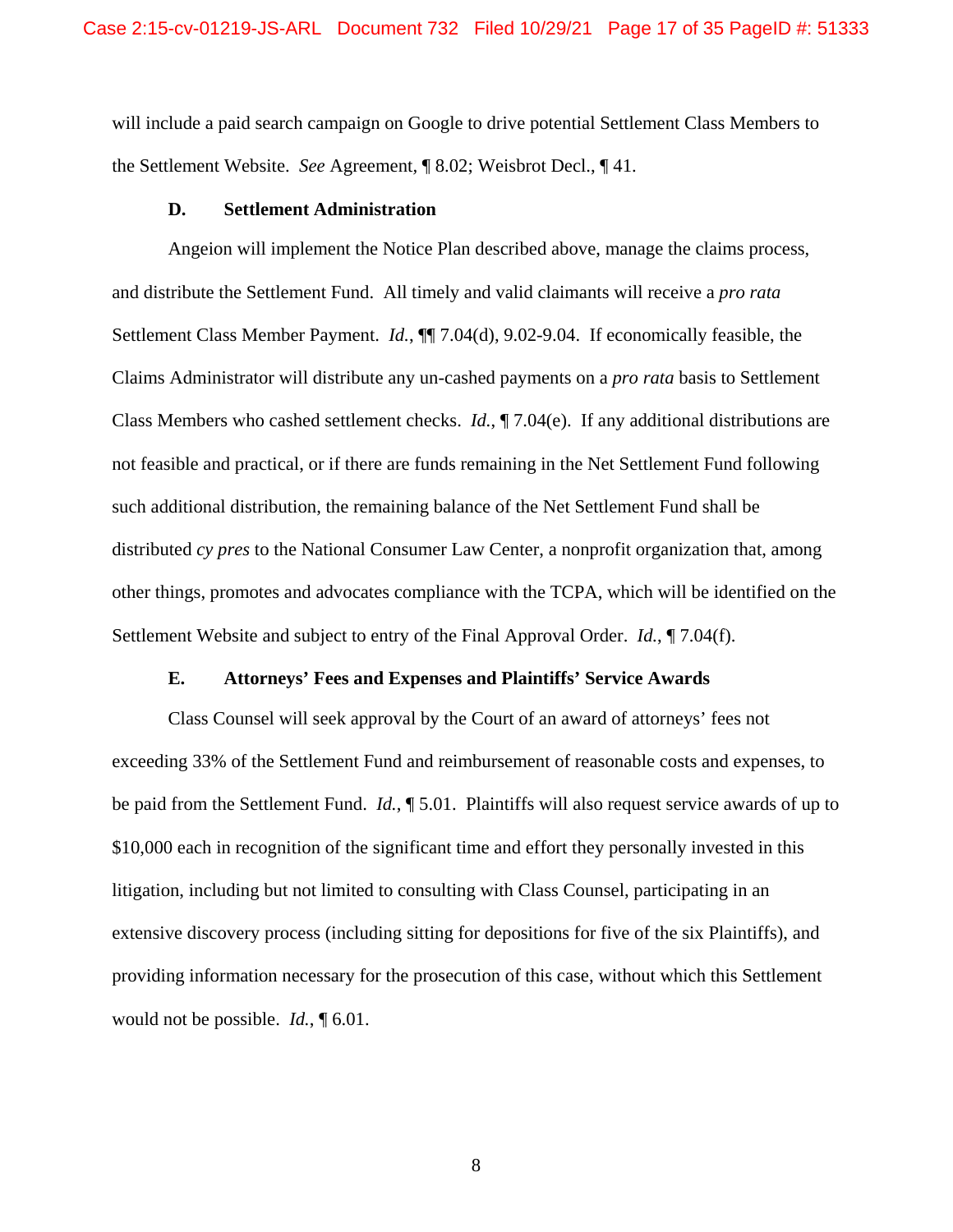will include a paid search campaign on Google to drive potential Settlement Class Members to the Settlement Website. *See* Agreement*,* ¶ 8.02; Weisbrot Decl., ¶ 41.

#### **D. Settlement Administration**

Angeion will implement the Notice Plan described above, manage the claims process, and distribute the Settlement Fund. All timely and valid claimants will receive a *pro rata*  Settlement Class Member Payment. *Id.*, ¶¶ 7.04(d), 9.02-9.04. If economically feasible, the Claims Administrator will distribute any un-cashed payments on a *pro rata* basis to Settlement Class Members who cashed settlement checks. *Id.*, ¶ 7.04(e). If any additional distributions are not feasible and practical, or if there are funds remaining in the Net Settlement Fund following such additional distribution, the remaining balance of the Net Settlement Fund shall be distributed *cy pres* to the National Consumer Law Center, a nonprofit organization that, among other things, promotes and advocates compliance with the TCPA, which will be identified on the Settlement Website and subject to entry of the Final Approval Order. *Id.*, ¶ 7.04(f).

#### **E. Attorneys' Fees and Expenses and Plaintiffs' Service Awards**

Class Counsel will seek approval by the Court of an award of attorneys' fees not exceeding 33% of the Settlement Fund and reimbursement of reasonable costs and expenses, to be paid from the Settlement Fund. *Id.*, ¶ 5.01. Plaintiffs will also request service awards of up to \$10,000 each in recognition of the significant time and effort they personally invested in this litigation, including but not limited to consulting with Class Counsel, participating in an extensive discovery process (including sitting for depositions for five of the six Plaintiffs), and providing information necessary for the prosecution of this case, without which this Settlement would not be possible. *Id.*, ¶ 6.01.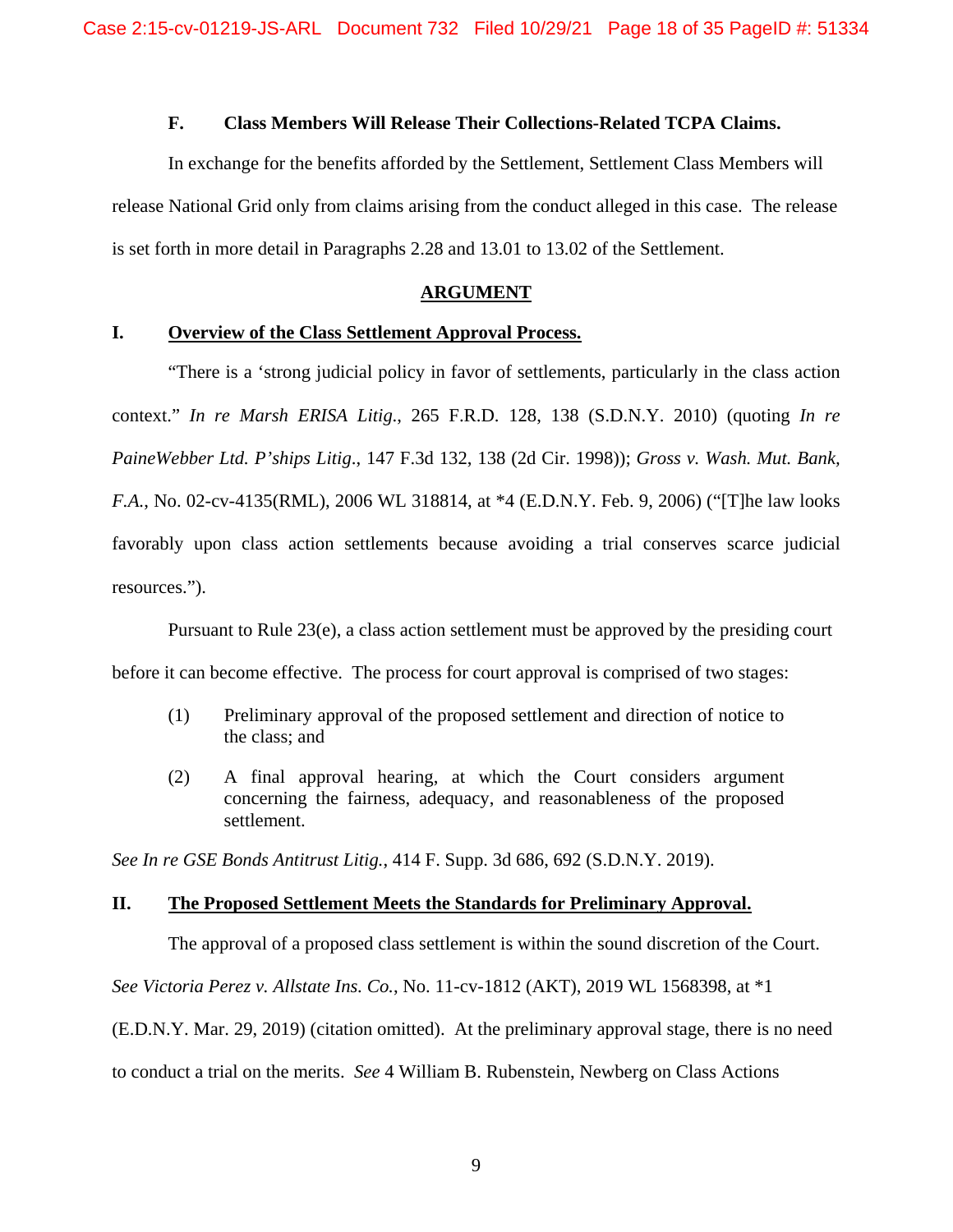# **F. Class Members Will Release Their Collections-Related TCPA Claims.**

In exchange for the benefits afforded by the Settlement, Settlement Class Members will release National Grid only from claims arising from the conduct alleged in this case. The release is set forth in more detail in Paragraphs 2.28 and 13.01 to 13.02 of the Settlement.

#### **ARGUMENT**

#### **I. Overview of the Class Settlement Approval Process.**

 "There is a 'strong judicial policy in favor of settlements, particularly in the class action context." *In re Marsh ERISA Litig*., 265 F.R.D. 128, 138 (S.D.N.Y. 2010) (quoting *In re PaineWebber Ltd. P'ships Litig*., 147 F.3d 132, 138 (2d Cir. 1998)); *Gross v. Wash. Mut. Bank, F.A.*, No. 02-cv-4135(RML), 2006 WL 318814, at \*4 (E.D.N.Y. Feb. 9, 2006) ("[T]he law looks favorably upon class action settlements because avoiding a trial conserves scarce judicial resources.").

Pursuant to Rule 23(e), a class action settlement must be approved by the presiding court before it can become effective. The process for court approval is comprised of two stages:

- (1) Preliminary approval of the proposed settlement and direction of notice to the class; and
- (2) A final approval hearing, at which the Court considers argument concerning the fairness, adequacy, and reasonableness of the proposed settlement.

*See In re GSE Bonds Antitrust Litig.*, 414 F. Supp. 3d 686, 692 (S.D.N.Y. 2019).

# **II. The Proposed Settlement Meets the Standards for Preliminary Approval.**

The approval of a proposed class settlement is within the sound discretion of the Court.

*See Victoria Perez v. Allstate Ins. Co.*, No. 11-cv-1812 (AKT), 2019 WL 1568398, at \*1

(E.D.N.Y. Mar. 29, 2019) (citation omitted). At the preliminary approval stage, there is no need

to conduct a trial on the merits. *See* 4 William B. Rubenstein, Newberg on Class Actions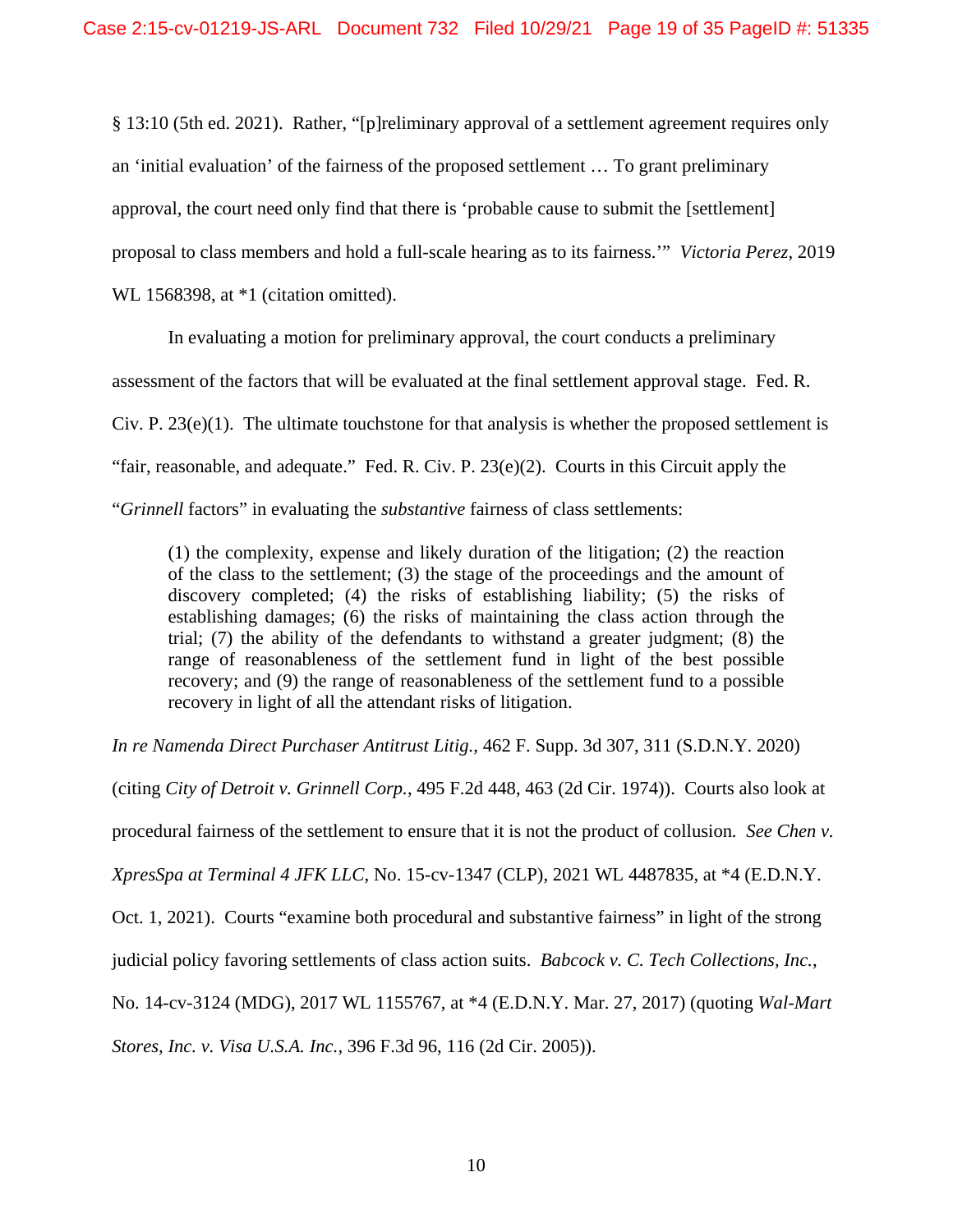§ 13:10 (5th ed. 2021). Rather, "[p]reliminary approval of a settlement agreement requires only an 'initial evaluation' of the fairness of the proposed settlement … To grant preliminary approval, the court need only find that there is 'probable cause to submit the [settlement] proposal to class members and hold a full-scale hearing as to its fairness.'" *Victoria Perez*, 2019 WL 1568398, at  $*1$  (citation omitted).

In evaluating a motion for preliminary approval, the court conducts a preliminary assessment of the factors that will be evaluated at the final settlement approval stage. Fed. R. Civ. P.  $23(e)(1)$ . The ultimate touchstone for that analysis is whether the proposed settlement is "fair, reasonable, and adequate." Fed. R. Civ. P. 23(e)(2). Courts in this Circuit apply the "*Grinnell* factors" in evaluating the *substantive* fairness of class settlements:

(1) the complexity, expense and likely duration of the litigation; (2) the reaction of the class to the settlement; (3) the stage of the proceedings and the amount of discovery completed; (4) the risks of establishing liability; (5) the risks of establishing damages; (6) the risks of maintaining the class action through the trial; (7) the ability of the defendants to withstand a greater judgment; (8) the range of reasonableness of the settlement fund in light of the best possible recovery; and (9) the range of reasonableness of the settlement fund to a possible recovery in light of all the attendant risks of litigation.

*In re Namenda Direct Purchaser Antitrust Litig.*, 462 F. Supp. 3d 307, 311 (S.D.N.Y. 2020)

(citing *City of Detroit v. Grinnell Corp.*, 495 F.2d 448, 463 (2d Cir. 1974)). Courts also look at

procedural fairness of the settlement to ensure that it is not the product of collusion*. See Chen v.* 

*XpresSpa at Terminal 4 JFK LLC*, No. 15-cv-1347 (CLP), 2021 WL 4487835, at \*4 (E.D.N.Y.

Oct. 1, 2021). Courts "examine both procedural and substantive fairness" in light of the strong

judicial policy favoring settlements of class action suits. *Babcock v. C. Tech Collections, Inc.*,

No. 14-cv-3124 (MDG), 2017 WL 1155767, at \*4 (E.D.N.Y. Mar. 27, 2017) (quoting *Wal-Mart* 

*Stores, Inc. v. Visa U.S.A. Inc.*, 396 F.3d 96, 116 (2d Cir. 2005)).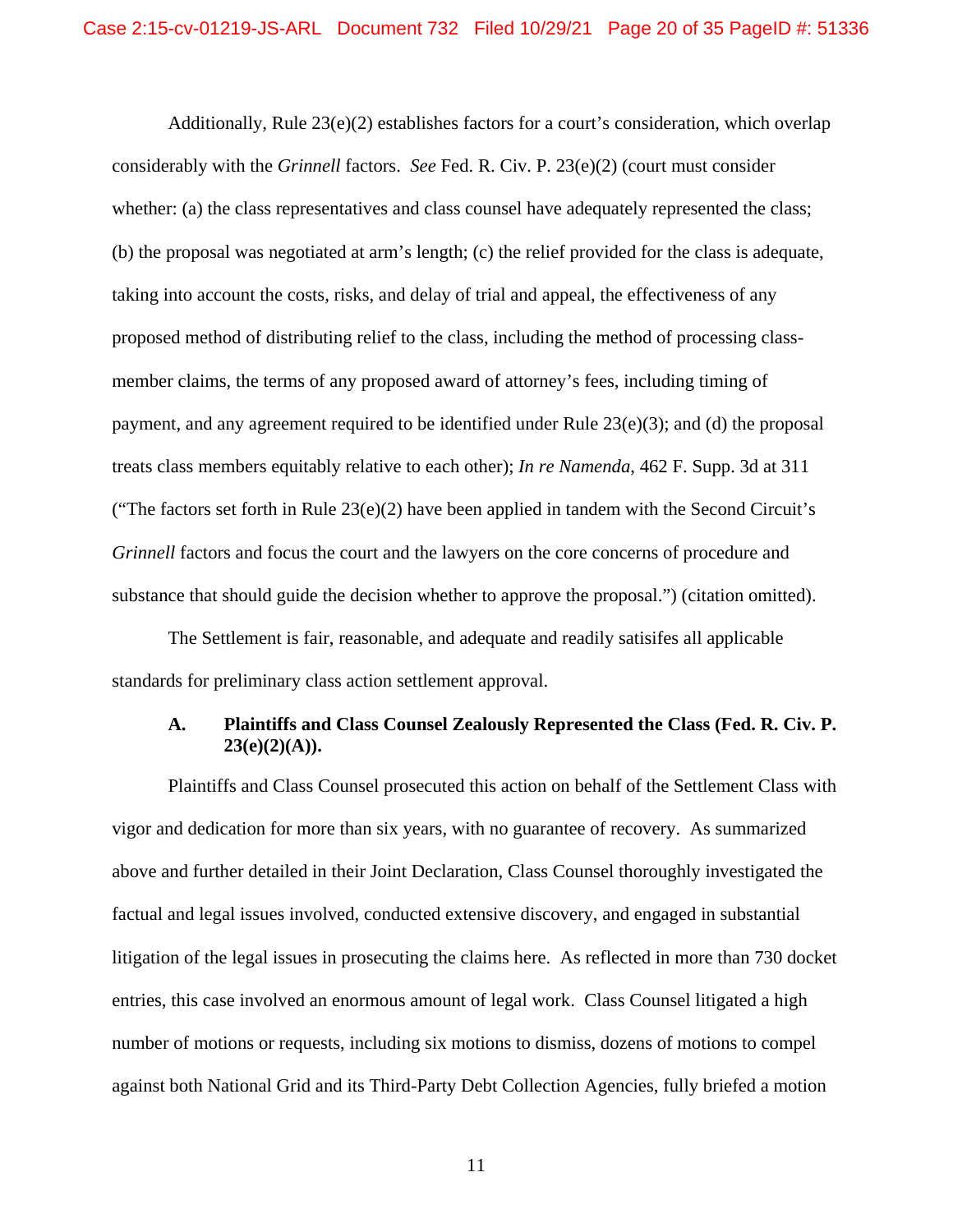Additionally, Rule  $23(e)(2)$  establishes factors for a court's consideration, which overlap considerably with the *Grinnell* factors. *See* Fed. R. Civ. P. 23(e)(2) (court must consider whether: (a) the class representatives and class counsel have adequately represented the class; (b) the proposal was negotiated at arm's length; (c) the relief provided for the class is adequate, taking into account the costs, risks, and delay of trial and appeal, the effectiveness of any proposed method of distributing relief to the class, including the method of processing classmember claims, the terms of any proposed award of attorney's fees, including timing of payment, and any agreement required to be identified under Rule  $23(e)(3)$ ; and (d) the proposal treats class members equitably relative to each other); *In re Namenda*, 462 F. Supp. 3d at 311 ("The factors set forth in Rule  $23(e)(2)$  have been applied in tandem with the Second Circuit's *Grinnell* factors and focus the court and the lawyers on the core concerns of procedure and substance that should guide the decision whether to approve the proposal.") (citation omitted).

The Settlement is fair, reasonable, and adequate and readily satisifes all applicable standards for preliminary class action settlement approval.

## **A. Plaintiffs and Class Counsel Zealously Represented the Class (Fed. R. Civ. P.**   $23(e)(2)(A)).$

Plaintiffs and Class Counsel prosecuted this action on behalf of the Settlement Class with vigor and dedication for more than six years, with no guarantee of recovery. As summarized above and further detailed in their Joint Declaration, Class Counsel thoroughly investigated the factual and legal issues involved, conducted extensive discovery, and engaged in substantial litigation of the legal issues in prosecuting the claims here. As reflected in more than 730 docket entries, this case involved an enormous amount of legal work. Class Counsel litigated a high number of motions or requests, including six motions to dismiss, dozens of motions to compel against both National Grid and its Third-Party Debt Collection Agencies, fully briefed a motion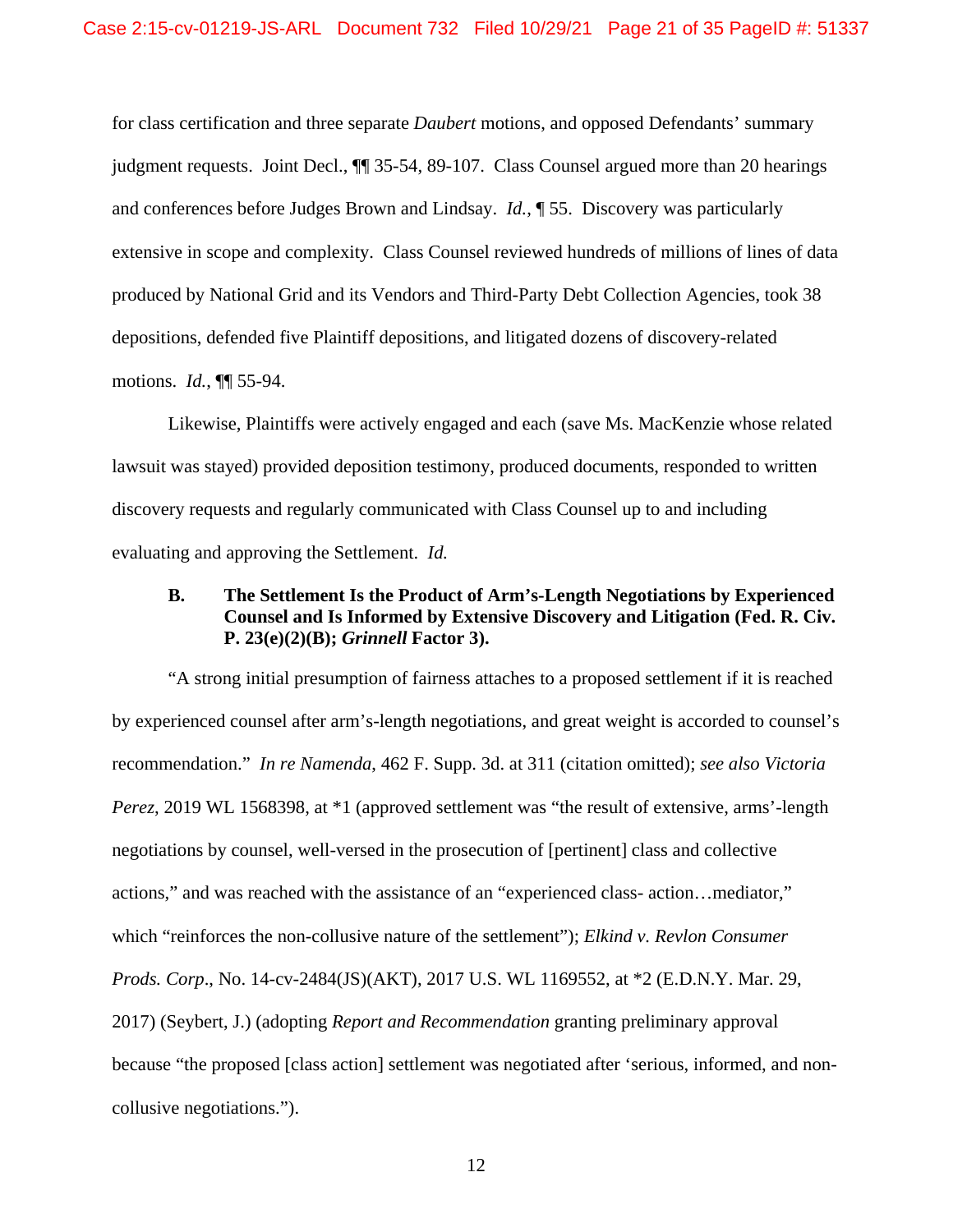for class certification and three separate *Daubert* motions, and opposed Defendants' summary judgment requests. Joint Decl., ¶¶ 35-54, 89-107. Class Counsel argued more than 20 hearings and conferences before Judges Brown and Lindsay. *Id.*, ¶ 55. Discovery was particularly extensive in scope and complexity. Class Counsel reviewed hundreds of millions of lines of data produced by National Grid and its Vendors and Third-Party Debt Collection Agencies, took 38 depositions, defended five Plaintiff depositions, and litigated dozens of discovery-related motions. *Id.*, ¶¶ 55-94.

Likewise, Plaintiffs were actively engaged and each (save Ms. MacKenzie whose related lawsuit was stayed) provided deposition testimony, produced documents, responded to written discovery requests and regularly communicated with Class Counsel up to and including evaluating and approving the Settlement. *Id.*

# **B. The Settlement Is the Product of Arm's-Length Negotiations by Experienced Counsel and Is Informed by Extensive Discovery and Litigation (Fed. R. Civ. P. 23(e)(2)(B);** *Grinnell* **Factor 3).**

"A strong initial presumption of fairness attaches to a proposed settlement if it is reached by experienced counsel after arm's-length negotiations, and great weight is accorded to counsel's recommendation." *In re Namenda*, 462 F. Supp. 3d. at 311 (citation omitted); *see also Victoria Perez*, 2019 WL 1568398, at \*1 (approved settlement was "the result of extensive, arms'-length negotiations by counsel, well-versed in the prosecution of [pertinent] class and collective actions," and was reached with the assistance of an "experienced class- action…mediator," which "reinforces the non-collusive nature of the settlement"); *Elkind v. Revlon Consumer Prods. Corp*., No. 14-cv-2484(JS)(AKT), 2017 U.S. WL 1169552, at \*2 (E.D.N.Y. Mar. 29, 2017) (Seybert, J.) (adopting *Report and Recommendation* granting preliminary approval because "the proposed [class action] settlement was negotiated after 'serious, informed, and noncollusive negotiations.").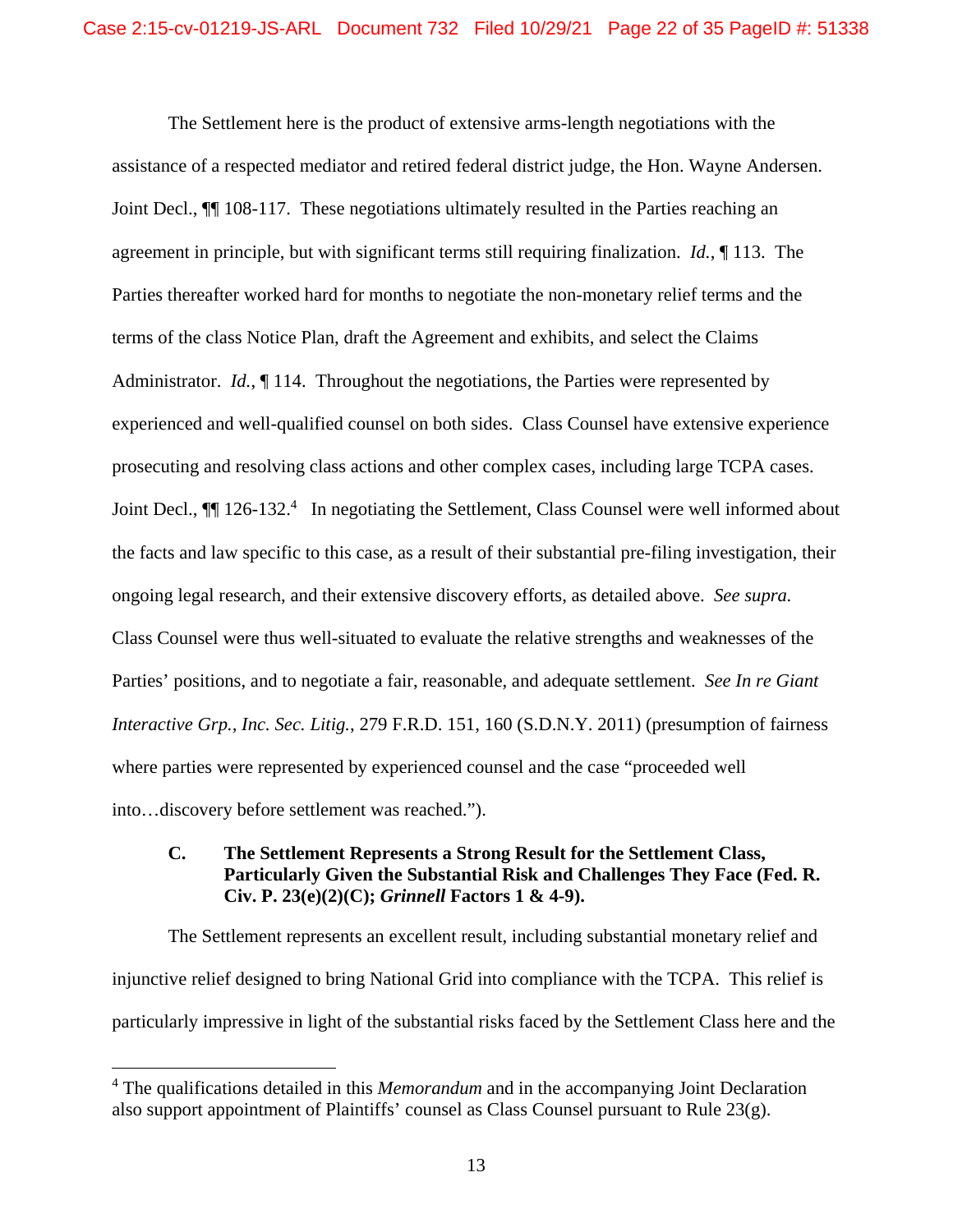The Settlement here is the product of extensive arms-length negotiations with the assistance of a respected mediator and retired federal district judge, the Hon. Wayne Andersen. Joint Decl., ¶¶ 108-117. These negotiations ultimately resulted in the Parties reaching an agreement in principle, but with significant terms still requiring finalization. *Id.*, ¶ 113. The Parties thereafter worked hard for months to negotiate the non-monetary relief terms and the terms of the class Notice Plan, draft the Agreement and exhibits, and select the Claims Administrator. *Id.*, 114. Throughout the negotiations, the Parties were represented by experienced and well-qualified counsel on both sides. Class Counsel have extensive experience prosecuting and resolving class actions and other complex cases, including large TCPA cases. Joint Decl.,  $\P$  126-132.<sup>4</sup> In negotiating the Settlement, Class Counsel were well informed about the facts and law specific to this case, as a result of their substantial pre-filing investigation, their ongoing legal research, and their extensive discovery efforts, as detailed above. *See supra.*  Class Counsel were thus well-situated to evaluate the relative strengths and weaknesses of the Parties' positions, and to negotiate a fair, reasonable, and adequate settlement. *See In re Giant Interactive Grp., Inc. Sec. Litig.*, 279 F.R.D. 151, 160 (S.D.N.Y. 2011) (presumption of fairness where parties were represented by experienced counsel and the case "proceeded well into…discovery before settlement was reached.").

# **C. The Settlement Represents a Strong Result for the Settlement Class, Particularly Given the Substantial Risk and Challenges They Face (Fed. R. Civ. P. 23(e)(2)(C);** *Grinnell* **Factors 1 & 4-9).**

The Settlement represents an excellent result, including substantial monetary relief and injunctive relief designed to bring National Grid into compliance with the TCPA. This relief is particularly impressive in light of the substantial risks faced by the Settlement Class here and the

<sup>4</sup> The qualifications detailed in this *Memorandum* and in the accompanying Joint Declaration also support appointment of Plaintiffs' counsel as Class Counsel pursuant to Rule 23(g).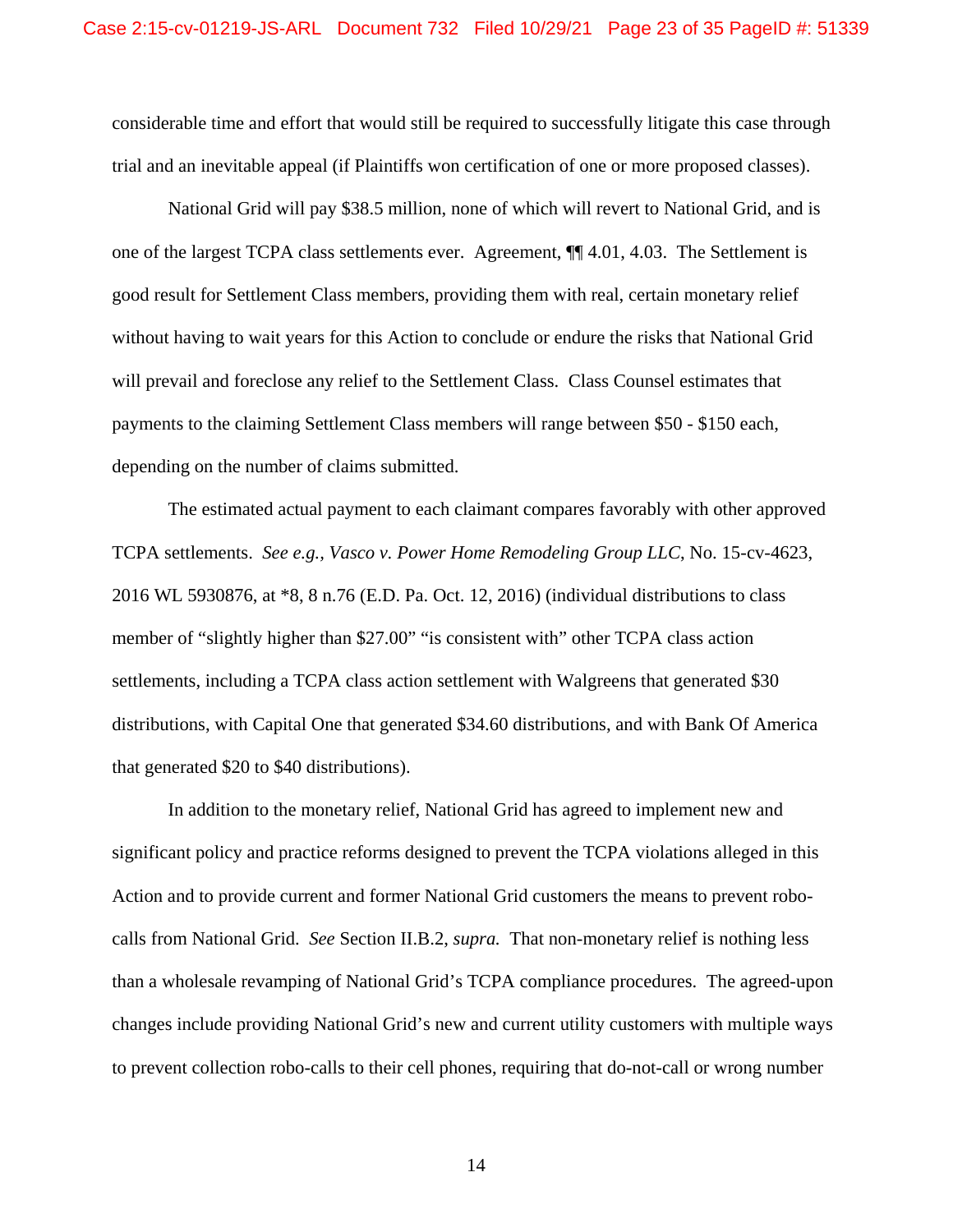considerable time and effort that would still be required to successfully litigate this case through trial and an inevitable appeal (if Plaintiffs won certification of one or more proposed classes).

National Grid will pay \$38.5 million, none of which will revert to National Grid, and is one of the largest TCPA class settlements ever. Agreement, ¶¶ 4.01, 4.03. The Settlement is good result for Settlement Class members, providing them with real, certain monetary relief without having to wait years for this Action to conclude or endure the risks that National Grid will prevail and foreclose any relief to the Settlement Class. Class Counsel estimates that payments to the claiming Settlement Class members will range between \$50 - \$150 each, depending on the number of claims submitted.

The estimated actual payment to each claimant compares favorably with other approved TCPA settlements. *See e.g., Vasco v. Power Home Remodeling Group LLC*, No. 15-cv-4623, 2016 WL 5930876, at \*8, 8 n.76 (E.D. Pa. Oct. 12, 2016) (individual distributions to class member of "slightly higher than \$27.00" "is consistent with" other TCPA class action settlements, including a TCPA class action settlement with Walgreens that generated \$30 distributions, with Capital One that generated \$34.60 distributions, and with Bank Of America that generated \$20 to \$40 distributions).

In addition to the monetary relief, National Grid has agreed to implement new and significant policy and practice reforms designed to prevent the TCPA violations alleged in this Action and to provide current and former National Grid customers the means to prevent robocalls from National Grid. *See* Section II.B.2, *supra.* That non-monetary relief is nothing less than a wholesale revamping of National Grid's TCPA compliance procedures. The agreed-upon changes include providing National Grid's new and current utility customers with multiple ways to prevent collection robo-calls to their cell phones, requiring that do-not-call or wrong number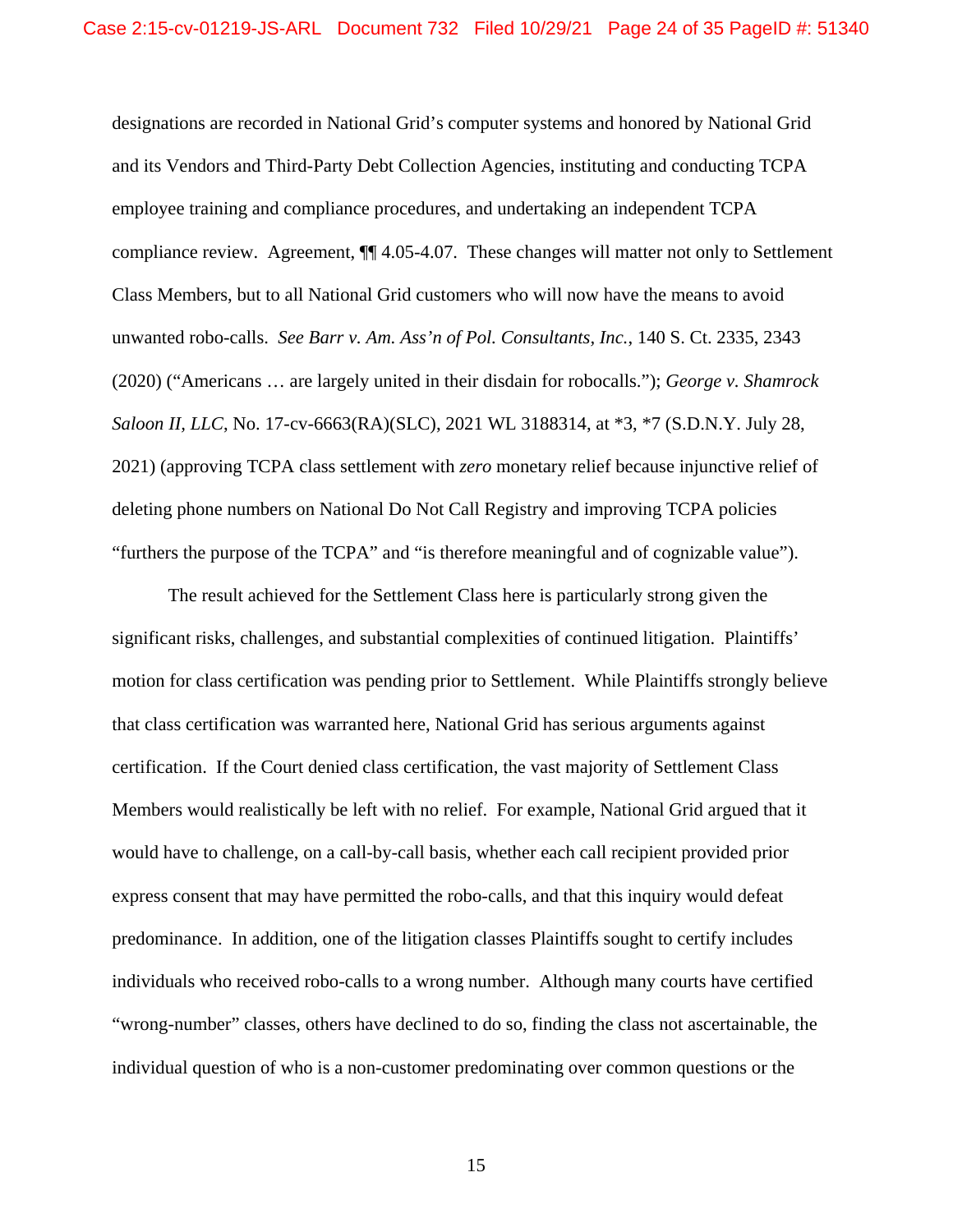designations are recorded in National Grid's computer systems and honored by National Grid and its Vendors and Third-Party Debt Collection Agencies, instituting and conducting TCPA employee training and compliance procedures, and undertaking an independent TCPA compliance review. Agreement, ¶¶ 4.05-4.07. These changes will matter not only to Settlement Class Members, but to all National Grid customers who will now have the means to avoid unwanted robo-calls. *See Barr v. Am. Ass'n of Pol. Consultants, Inc.*, 140 S. Ct. 2335, 2343 (2020) ("Americans … are largely united in their disdain for robocalls."); *George v. Shamrock Saloon II, LLC*, No. 17-cv-6663(RA)(SLC), 2021 WL 3188314, at \*3, \*7 (S.D.N.Y. July 28, 2021) (approving TCPA class settlement with *zero* monetary relief because injunctive relief of deleting phone numbers on National Do Not Call Registry and improving TCPA policies "furthers the purpose of the TCPA" and "is therefore meaningful and of cognizable value").

The result achieved for the Settlement Class here is particularly strong given the significant risks, challenges, and substantial complexities of continued litigation. Plaintiffs' motion for class certification was pending prior to Settlement. While Plaintiffs strongly believe that class certification was warranted here, National Grid has serious arguments against certification. If the Court denied class certification, the vast majority of Settlement Class Members would realistically be left with no relief. For example, National Grid argued that it would have to challenge, on a call-by-call basis, whether each call recipient provided prior express consent that may have permitted the robo-calls, and that this inquiry would defeat predominance. In addition, one of the litigation classes Plaintiffs sought to certify includes individuals who received robo-calls to a wrong number. Although many courts have certified "wrong-number" classes, others have declined to do so, finding the class not ascertainable, the individual question of who is a non-customer predominating over common questions or the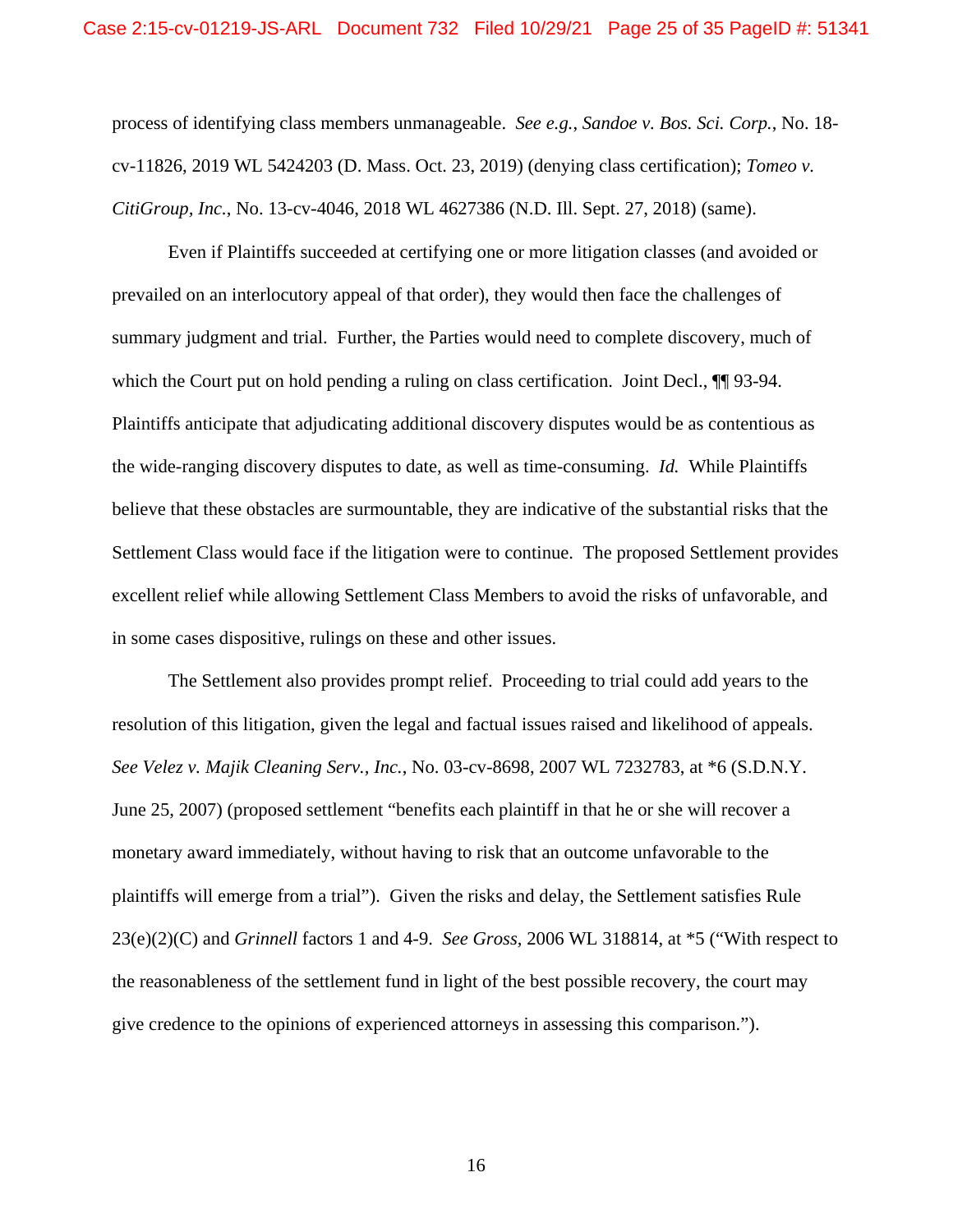process of identifying class members unmanageable. *See e.g.*, *Sandoe v. Bos. Sci. Corp.*, No. 18 cv-11826, 2019 WL 5424203 (D. Mass. Oct. 23, 2019) (denying class certification); *Tomeo v. CitiGroup, Inc.*, No. 13-cv-4046, 2018 WL 4627386 (N.D. Ill. Sept. 27, 2018) (same).

Even if Plaintiffs succeeded at certifying one or more litigation classes (and avoided or prevailed on an interlocutory appeal of that order), they would then face the challenges of summary judgment and trial. Further, the Parties would need to complete discovery, much of which the Court put on hold pending a ruling on class certification. Joint Decl.,  $\P$  93-94. Plaintiffs anticipate that adjudicating additional discovery disputes would be as contentious as the wide-ranging discovery disputes to date, as well as time-consuming. *Id.* While Plaintiffs believe that these obstacles are surmountable, they are indicative of the substantial risks that the Settlement Class would face if the litigation were to continue. The proposed Settlement provides excellent relief while allowing Settlement Class Members to avoid the risks of unfavorable, and in some cases dispositive, rulings on these and other issues.

The Settlement also provides prompt relief. Proceeding to trial could add years to the resolution of this litigation, given the legal and factual issues raised and likelihood of appeals. *See Velez v. Majik Cleaning Serv., Inc.*, No. 03-cv-8698, 2007 WL 7232783, at \*6 (S.D.N.Y. June 25, 2007) (proposed settlement "benefits each plaintiff in that he or she will recover a monetary award immediately, without having to risk that an outcome unfavorable to the plaintiffs will emerge from a trial"). Given the risks and delay, the Settlement satisfies Rule 23(e)(2)(C) and *Grinnell* factors 1 and 4-9. *See Gross,* 2006 WL 318814, at \*5 ("With respect to the reasonableness of the settlement fund in light of the best possible recovery, the court may give credence to the opinions of experienced attorneys in assessing this comparison.").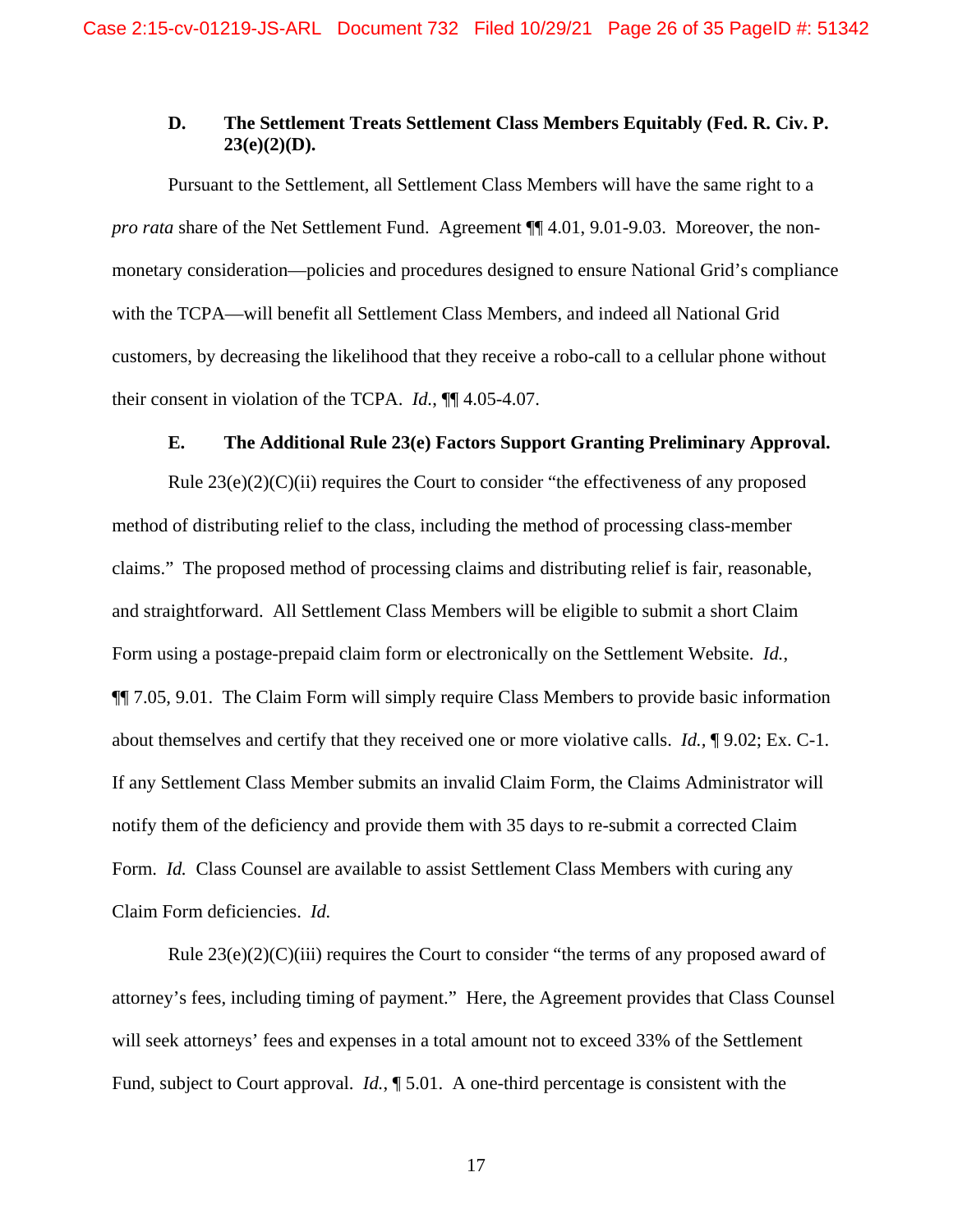## **D. The Settlement Treats Settlement Class Members Equitably (Fed. R. Civ. P. 23(e)(2)(D).**

Pursuant to the Settlement, all Settlement Class Members will have the same right to a *pro rata* share of the Net Settlement Fund. Agreement ¶¶ 4.01, 9.01-9.03. Moreover, the nonmonetary consideration—policies and procedures designed to ensure National Grid's compliance with the TCPA—will benefit all Settlement Class Members, and indeed all National Grid customers, by decreasing the likelihood that they receive a robo-call to a cellular phone without their consent in violation of the TCPA. *Id.*, ¶¶ 4.05-4.07.

### **E. The Additional Rule 23(e) Factors Support Granting Preliminary Approval.**

Rule  $23(e)(2)(C)(ii)$  requires the Court to consider "the effectiveness of any proposed method of distributing relief to the class, including the method of processing class-member claims." The proposed method of processing claims and distributing relief is fair, reasonable, and straightforward. All Settlement Class Members will be eligible to submit a short Claim Form using a postage-prepaid claim form or electronically on the Settlement Website. *Id.*, ¶¶ 7.05, 9.01. The Claim Form will simply require Class Members to provide basic information about themselves and certify that they received one or more violative calls. *Id.,* ¶ 9.02; Ex. C-1. If any Settlement Class Member submits an invalid Claim Form, the Claims Administrator will notify them of the deficiency and provide them with 35 days to re-submit a corrected Claim Form. *Id.* Class Counsel are available to assist Settlement Class Members with curing any Claim Form deficiencies. *Id.*

Rule  $23(e)(2)(C)(iii)$  requires the Court to consider "the terms of any proposed award of attorney's fees, including timing of payment." Here, the Agreement provides that Class Counsel will seek attorneys' fees and expenses in a total amount not to exceed 33% of the Settlement Fund, subject to Court approval. *Id.*, ¶ 5.01. A one-third percentage is consistent with the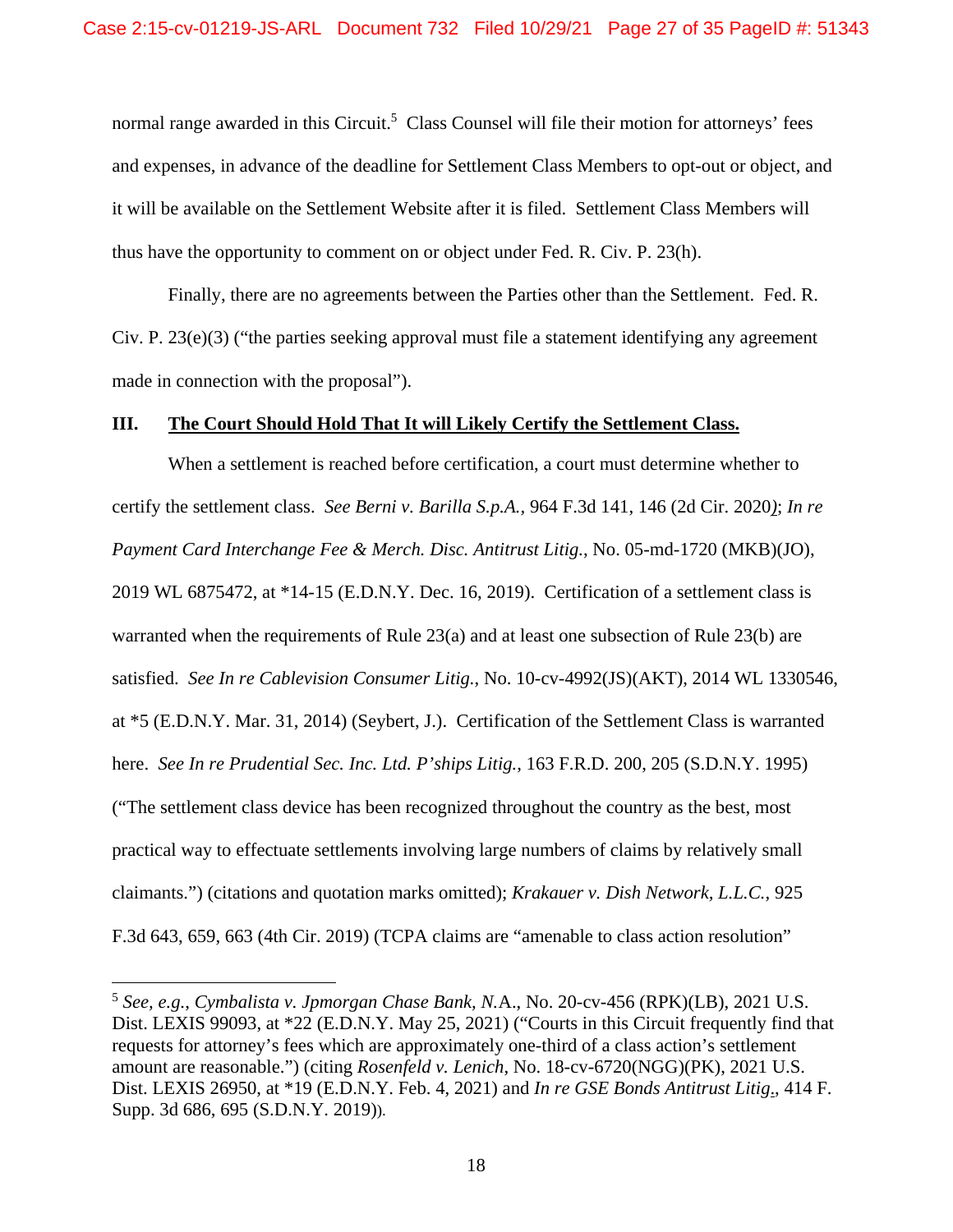normal range awarded in this Circuit.<sup>5</sup> Class Counsel will file their motion for attorneys' fees and expenses, in advance of the deadline for Settlement Class Members to opt-out or object, and it will be available on the Settlement Website after it is filed. Settlement Class Members will thus have the opportunity to comment on or object under Fed. R. Civ. P. 23(h).

Finally, there are no agreements between the Parties other than the Settlement. Fed. R. Civ. P.  $23(e)(3)$  ("the parties seeking approval must file a statement identifying any agreement made in connection with the proposal").

#### **III. The Court Should Hold That It will Likely Certify the Settlement Class.**

When a settlement is reached before certification, a court must determine whether to certify the settlement class. *See Berni v. Barilla S.p.A.,* 964 F.3d 141, 146 (2d Cir. 2020*)*; *In re Payment Card Interchange Fee & Merch. Disc. Antitrust Litig.*, No. 05-md-1720 (MKB)(JO), 2019 WL 6875472, at \*14-15 (E.D.N.Y. Dec. 16, 2019). Certification of a settlement class is warranted when the requirements of Rule 23(a) and at least one subsection of Rule 23(b) are satisfied. *See In re Cablevision Consumer Litig.*, No. 10-cv-4992(JS)(AKT), 2014 WL 1330546, at \*5 (E.D.N.Y. Mar. 31, 2014) (Seybert, J.). Certification of the Settlement Class is warranted here. *See In re Prudential Sec. Inc. Ltd. P'ships Litig.*, 163 F.R.D. 200, 205 (S.D.N.Y. 1995) ("The settlement class device has been recognized throughout the country as the best, most practical way to effectuate settlements involving large numbers of claims by relatively small claimants.") (citations and quotation marks omitted); *Krakauer v. Dish Network, L.L.C.*, 925 F.3d 643, 659, 663 (4th Cir. 2019) (TCPA claims are "amenable to class action resolution"

<u>.</u>

<sup>5</sup> *See, e.g.*, *Cymbalista v. Jpmorgan Chase Bank, N.*A., No. 20-cv-456 (RPK)(LB), 2021 U.S. Dist. LEXIS 99093, at \*22 (E.D.N.Y. May 25, 2021) ("Courts in this Circuit frequently find that requests for attorney's fees which are approximately one-third of a class action's settlement amount are reasonable.") (citing *Rosenfeld v. Lenich*, No. 18-cv-6720(NGG)(PK), 2021 U.S. Dist. LEXIS 26950, at \*19 (E.D.N.Y. Feb. 4, 2021) and *In re GSE Bonds Antitrust Litig*., 414 F. Supp. 3d 686, 695 (S.D.N.Y. 2019)).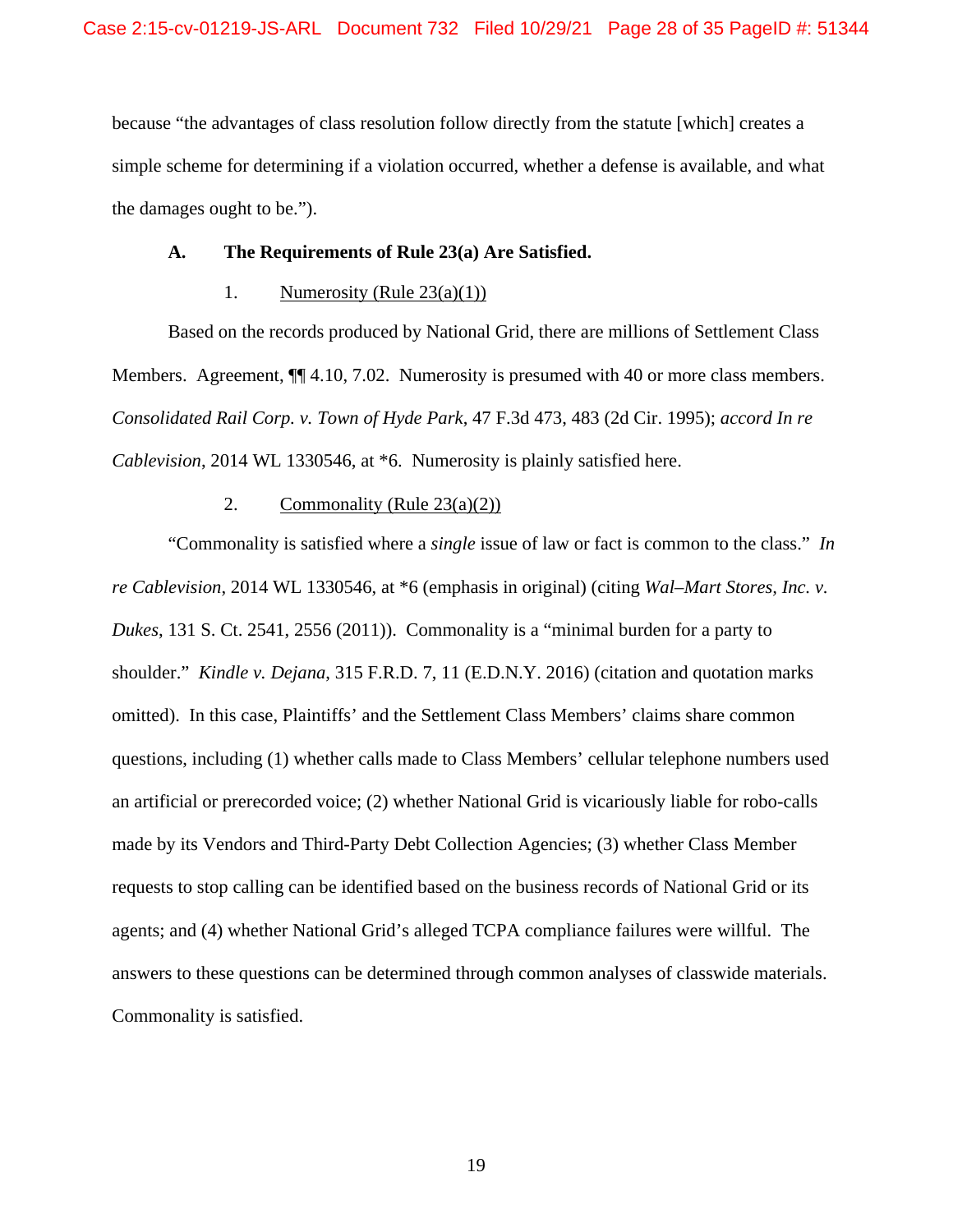because "the advantages of class resolution follow directly from the statute [which] creates a simple scheme for determining if a violation occurred, whether a defense is available, and what the damages ought to be.").

#### **A. The Requirements of Rule 23(a) Are Satisfied.**

#### 1. Numerosity (Rule  $23(a)(1)$ )

Based on the records produced by National Grid, there are millions of Settlement Class Members. Agreement,  $\P$  4.10, 7.02. Numerosity is presumed with 40 or more class members. *Consolidated Rail Corp. v. Town of Hyde Park*, 47 F.3d 473, 483 (2d Cir. 1995); *accord In re Cablevision*, 2014 WL 1330546, at \*6. Numerosity is plainly satisfied here.

#### 2. Commonality (Rule  $23(a)(2)$ )

"Commonality is satisfied where a *single* issue of law or fact is common to the class." *In re Cablevision*, 2014 WL 1330546, at \*6 (emphasis in original) (citing *Wal–Mart Stores, Inc. v. Dukes*, 131 S. Ct. 2541, 2556 (2011)). Commonality is a "minimal burden for a party to shoulder." *Kindle v. Dejana*, 315 F.R.D. 7, 11 (E.D.N.Y. 2016) (citation and quotation marks omitted). In this case, Plaintiffs' and the Settlement Class Members' claims share common questions, including (1) whether calls made to Class Members' cellular telephone numbers used an artificial or prerecorded voice; (2) whether National Grid is vicariously liable for robo-calls made by its Vendors and Third-Party Debt Collection Agencies; (3) whether Class Member requests to stop calling can be identified based on the business records of National Grid or its agents; and (4) whether National Grid's alleged TCPA compliance failures were willful. The answers to these questions can be determined through common analyses of classwide materials. Commonality is satisfied.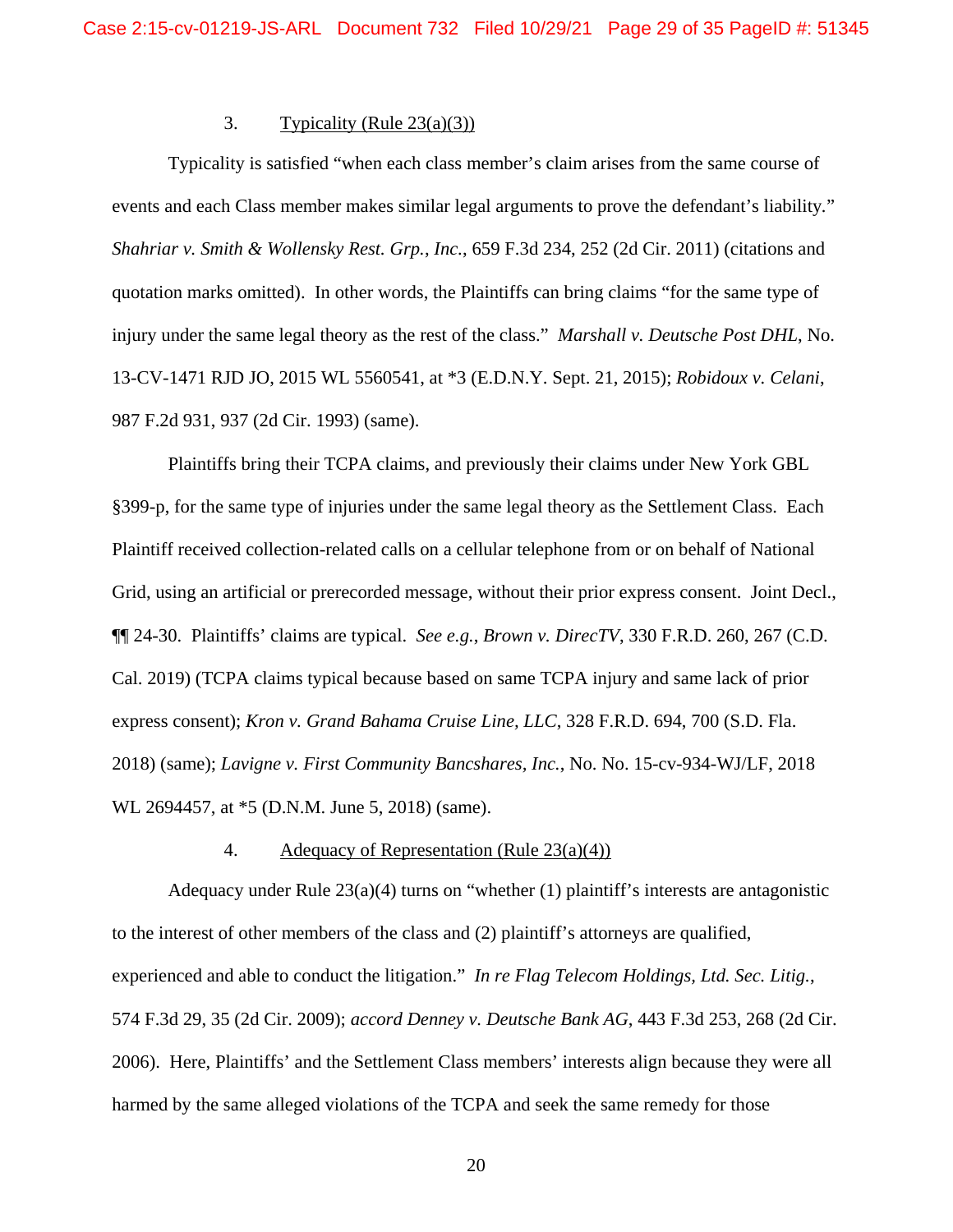# 3. Typicality (Rule  $23(a)(3)$ )

Typicality is satisfied "when each class member's claim arises from the same course of events and each Class member makes similar legal arguments to prove the defendant's liability*.*" *Shahriar v. Smith & Wollensky Rest. Grp.*, *Inc.*, 659 F.3d 234, 252 (2d Cir. 2011) (citations and quotation marks omitted). In other words, the Plaintiffs can bring claims "for the same type of injury under the same legal theory as the rest of the class." *Marshall v. Deutsche Post DHL*, No. 13-CV-1471 RJD JO, 2015 WL 5560541, at \*3 (E.D.N.Y. Sept. 21, 2015); *Robidoux v. Celani*, 987 F.2d 931, 937 (2d Cir. 1993) (same).

Plaintiffs bring their TCPA claims, and previously their claims under New York GBL §399-p, for the same type of injuries under the same legal theory as the Settlement Class. Each Plaintiff received collection-related calls on a cellular telephone from or on behalf of National Grid, using an artificial or prerecorded message, without their prior express consent. Joint Decl., ¶¶ 24-30. Plaintiffs' claims are typical. *See e.g.*, *Brown v. DirecTV*, 330 F.R.D. 260, 267 (C.D. Cal. 2019) (TCPA claims typical because based on same TCPA injury and same lack of prior express consent); *Kron v. Grand Bahama Cruise Line, LLC*, 328 F.R.D. 694, 700 (S.D. Fla. 2018) (same); *Lavigne v. First Community Bancshares, Inc.*, No. No. 15-cv-934-WJ/LF, 2018 WL 2694457, at \*5 (D.N.M. June 5, 2018) (same).

#### 4. Adequacy of Representation (Rule 23(a)(4))

Adequacy under Rule  $23(a)(4)$  turns on "whether (1) plaintiff's interests are antagonistic to the interest of other members of the class and (2) plaintiff's attorneys are qualified, experienced and able to conduct the litigation." *In re Flag Telecom Holdings, Ltd. Sec. Litig.*, 574 F.3d 29, 35 (2d Cir. 2009); *accord Denney v. Deutsche Bank AG*, 443 F.3d 253, 268 (2d Cir. 2006). Here, Plaintiffs' and the Settlement Class members' interests align because they were all harmed by the same alleged violations of the TCPA and seek the same remedy for those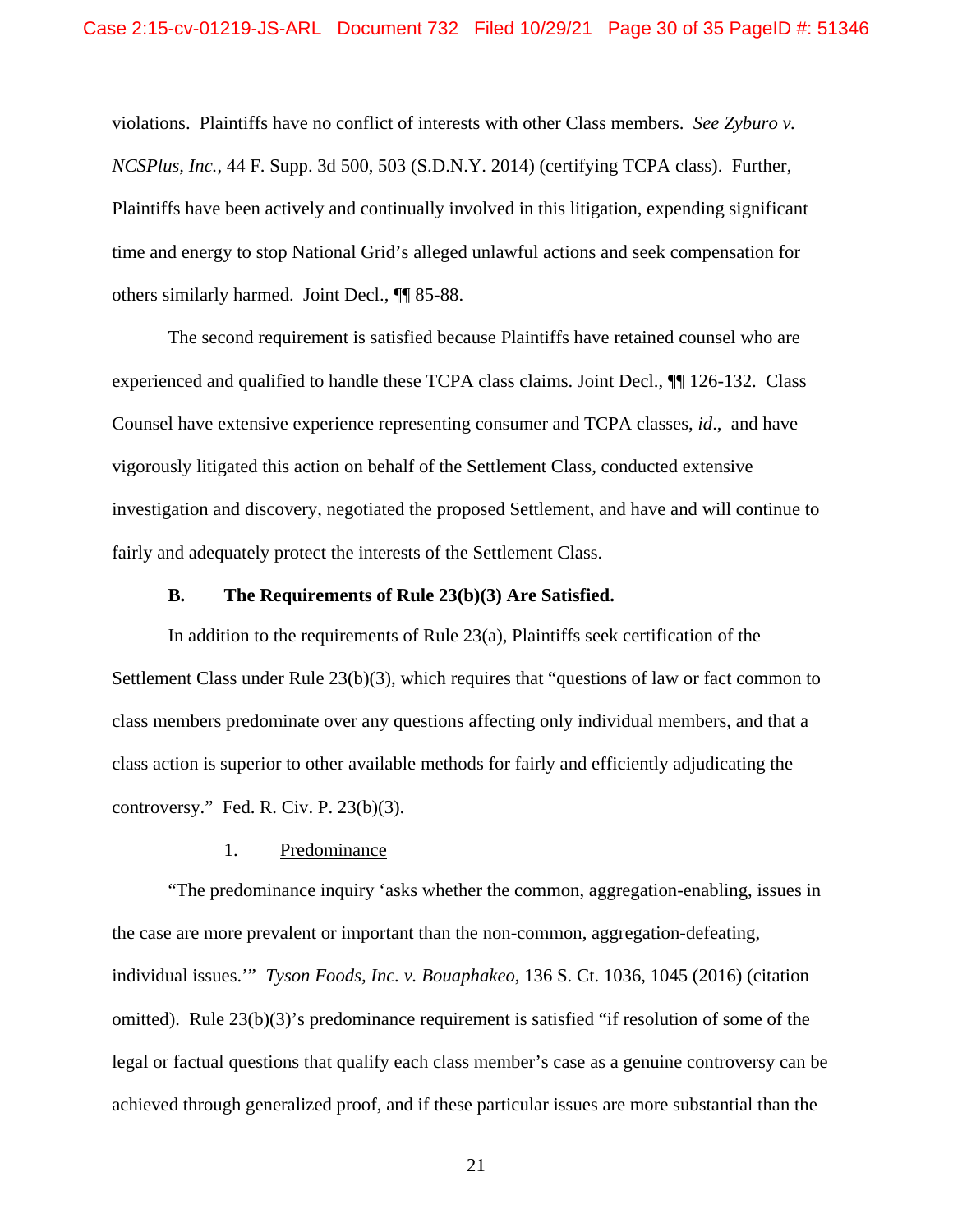violations. Plaintiffs have no conflict of interests with other Class members. *See Zyburo v. NCSPlus, Inc.*, 44 F. Supp. 3d 500, 503 (S.D.N.Y. 2014) (certifying TCPA class). Further, Plaintiffs have been actively and continually involved in this litigation, expending significant time and energy to stop National Grid's alleged unlawful actions and seek compensation for others similarly harmed. Joint Decl., ¶¶ 85-88.

The second requirement is satisfied because Plaintiffs have retained counsel who are experienced and qualified to handle these TCPA class claims. Joint Decl., ¶¶ 126-132. Class Counsel have extensive experience representing consumer and TCPA classes, *id*., and have vigorously litigated this action on behalf of the Settlement Class, conducted extensive investigation and discovery, negotiated the proposed Settlement, and have and will continue to fairly and adequately protect the interests of the Settlement Class.

#### **B. The Requirements of Rule 23(b)(3) Are Satisfied.**

In addition to the requirements of Rule 23(a), Plaintiffs seek certification of the Settlement Class under Rule 23(b)(3), which requires that "questions of law or fact common to class members predominate over any questions affecting only individual members, and that a class action is superior to other available methods for fairly and efficiently adjudicating the controversy." Fed. R. Civ. P. 23(b)(3).

#### 1. Predominance

 "The predominance inquiry 'asks whether the common, aggregation-enabling, issues in the case are more prevalent or important than the non-common, aggregation-defeating, individual issues.'" *Tyson Foods, Inc. v. Bouaphakeo*, 136 S. Ct. 1036, 1045 (2016) (citation omitted). Rule 23(b)(3)'s predominance requirement is satisfied "if resolution of some of the legal or factual questions that qualify each class member's case as a genuine controversy can be achieved through generalized proof, and if these particular issues are more substantial than the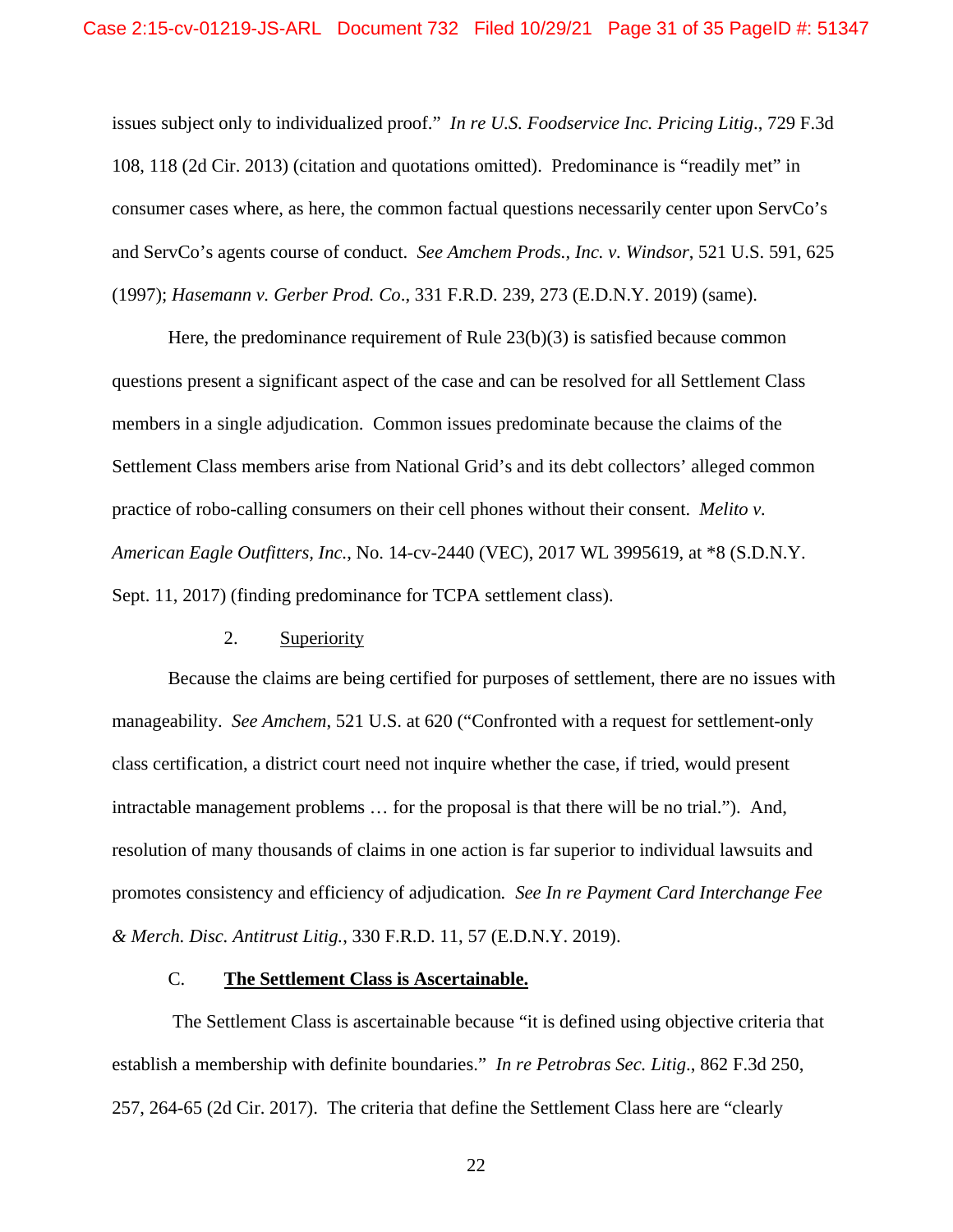issues subject only to individualized proof." *In re U.S. Foodservice Inc. Pricing Litig*., 729 F.3d 108, 118 (2d Cir. 2013) (citation and quotations omitted). Predominance is "readily met" in consumer cases where, as here, the common factual questions necessarily center upon ServCo's and ServCo's agents course of conduct. *See Amchem Prods., Inc. v. Windsor*, 521 U.S. 591, 625 (1997); *Hasemann v. Gerber Prod. Co*., 331 F.R.D. 239, 273 (E.D.N.Y. 2019) (same).

Here, the predominance requirement of Rule  $23(b)(3)$  is satisfied because common questions present a significant aspect of the case and can be resolved for all Settlement Class members in a single adjudication. Common issues predominate because the claims of the Settlement Class members arise from National Grid's and its debt collectors' alleged common practice of robo-calling consumers on their cell phones without their consent. *Melito v. American Eagle Outfitters, Inc.*, No. 14-cv-2440 (VEC), 2017 WL 3995619, at \*8 (S.D.N.Y. Sept. 11, 2017) (finding predominance for TCPA settlement class).

#### 2. Superiority

Because the claims are being certified for purposes of settlement, there are no issues with manageability. *See Amchem*, 521 U.S. at 620 ("Confronted with a request for settlement-only class certification, a district court need not inquire whether the case, if tried, would present intractable management problems … for the proposal is that there will be no trial."). And, resolution of many thousands of claims in one action is far superior to individual lawsuits and promotes consistency and efficiency of adjudication*. See In re Payment Card Interchange Fee & Merch. Disc. Antitrust Litig.*, 330 F.R.D. 11, 57 (E.D.N.Y. 2019).

### C. **The Settlement Class is Ascertainable.**

 The Settlement Class is ascertainable because "it is defined using objective criteria that establish a membership with definite boundaries." *In re Petrobras Sec. Litig*., 862 F.3d 250, 257, 264-65 (2d Cir. 2017). The criteria that define the Settlement Class here are "clearly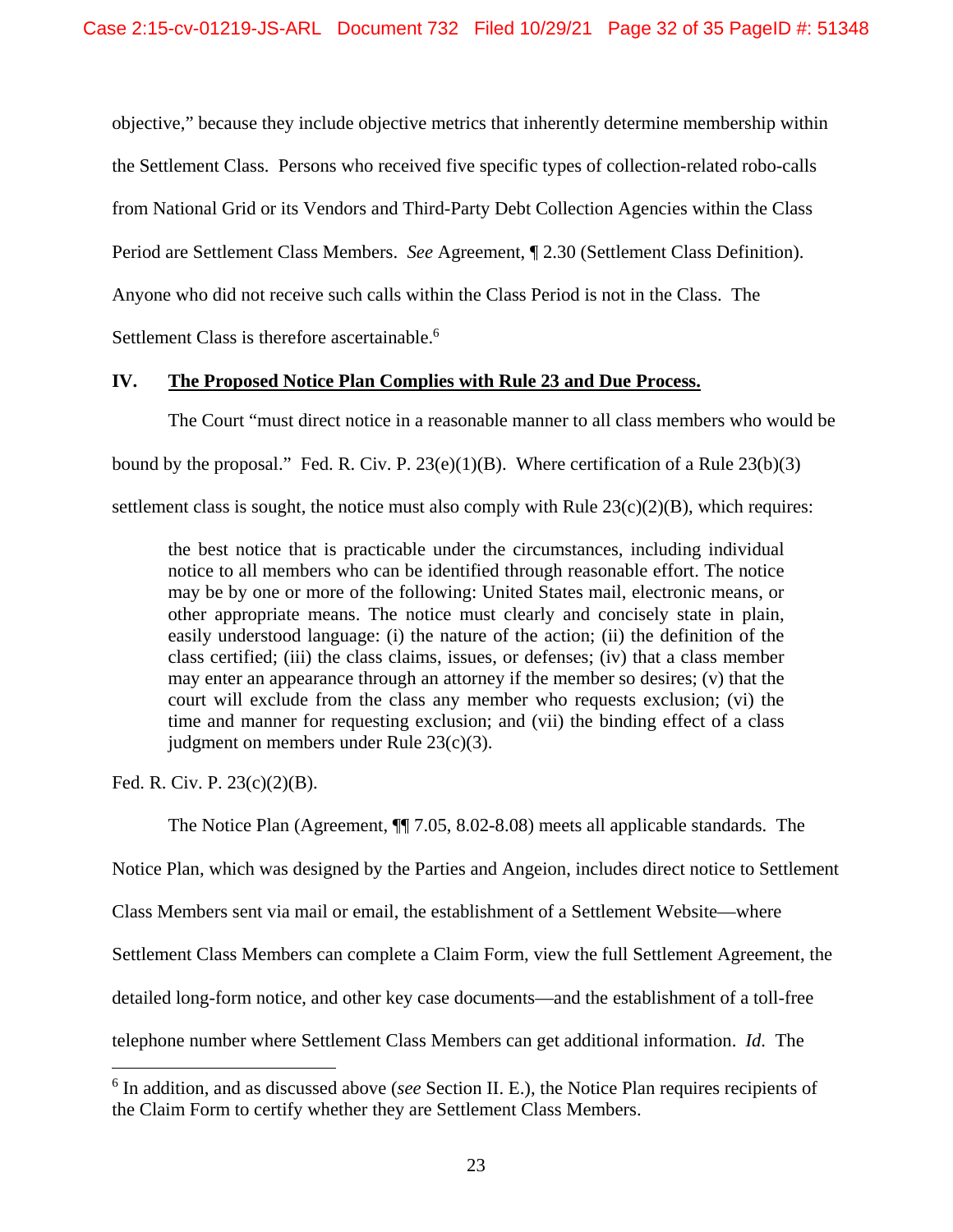objective," because they include objective metrics that inherently determine membership within the Settlement Class. Persons who received five specific types of collection-related robo-calls from National Grid or its Vendors and Third-Party Debt Collection Agencies within the Class Period are Settlement Class Members. *See* Agreement, ¶ 2.30 (Settlement Class Definition). Anyone who did not receive such calls within the Class Period is not in the Class. The Settlement Class is therefore ascertainable.<sup>6</sup>

### **IV. The Proposed Notice Plan Complies with Rule 23 and Due Process.**

The Court "must direct notice in a reasonable manner to all class members who would be bound by the proposal." Fed. R. Civ. P.  $23(e)(1)(B)$ . Where certification of a Rule  $23(b)(3)$ settlement class is sought, the notice must also comply with Rule  $23(c)(2)(B)$ , which requires:

the best notice that is practicable under the circumstances, including individual notice to all members who can be identified through reasonable effort. The notice may be by one or more of the following: United States mail, electronic means, or other appropriate means. The notice must clearly and concisely state in plain, easily understood language: (i) the nature of the action; (ii) the definition of the class certified; (iii) the class claims, issues, or defenses; (iv) that a class member may enter an appearance through an attorney if the member so desires; (v) that the court will exclude from the class any member who requests exclusion; (vi) the time and manner for requesting exclusion; and (vii) the binding effect of a class judgment on members under Rule 23(c)(3).

Fed. R. Civ. P. 23(c)(2)(B).

 $\overline{a}$ 

The Notice Plan (Agreement, ¶¶ 7.05, 8.02-8.08) meets all applicable standards. The

Notice Plan, which was designed by the Parties and Angeion, includes direct notice to Settlement

Class Members sent via mail or email, the establishment of a Settlement Website—where

Settlement Class Members can complete a Claim Form, view the full Settlement Agreement, the

detailed long-form notice, and other key case documents—and the establishment of a toll-free

telephone number where Settlement Class Members can get additional information. *Id*. The

<sup>6</sup> In addition, and as discussed above (*see* Section II. E.), the Notice Plan requires recipients of the Claim Form to certify whether they are Settlement Class Members.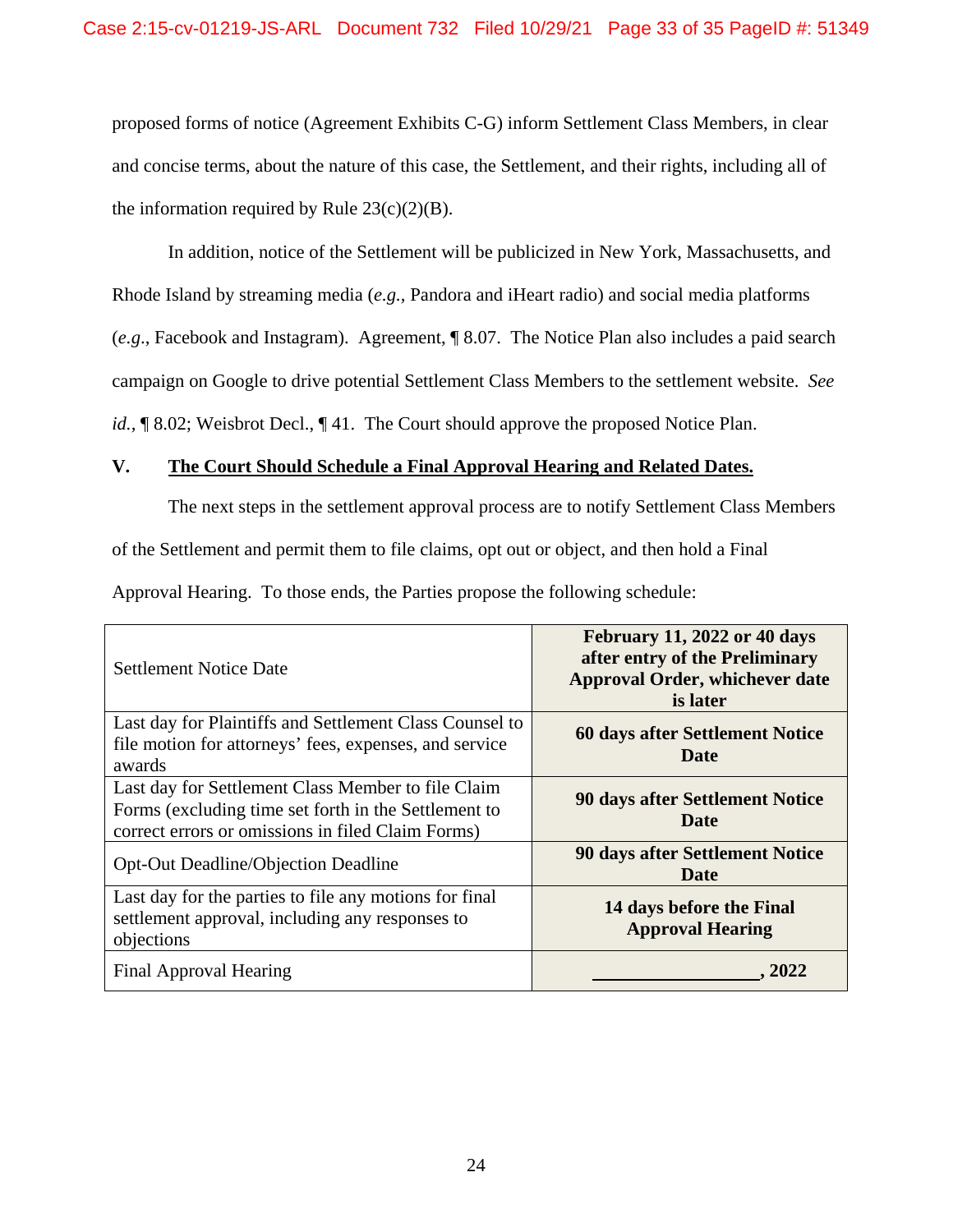proposed forms of notice (Agreement Exhibits C-G) inform Settlement Class Members, in clear and concise terms, about the nature of this case, the Settlement, and their rights, including all of the information required by Rule  $23(c)(2)(B)$ .

In addition, notice of the Settlement will be publicized in New York, Massachusetts, and Rhode Island by streaming media (*e.g.,* Pandora and iHeart radio) and social media platforms (*e.g*., Facebook and Instagram). Agreement, ¶ 8.07. The Notice Plan also includes a paid search campaign on Google to drive potential Settlement Class Members to the settlement website. *See id.*, ¶ 8.02; Weisbrot Decl., ¶ 41. The Court should approve the proposed Notice Plan.

# **V. The Court Should Schedule a Final Approval Hearing and Related Dates.**

The next steps in the settlement approval process are to notify Settlement Class Members of the Settlement and permit them to file claims, opt out or object, and then hold a Final

Approval Hearing. To those ends, the Parties propose the following schedule:

| Settlement Notice Date                                                                                                                                          | <b>February 11, 2022 or 40 days</b><br>after entry of the Preliminary<br><b>Approval Order, whichever date</b><br>is later |
|-----------------------------------------------------------------------------------------------------------------------------------------------------------------|----------------------------------------------------------------------------------------------------------------------------|
| Last day for Plaintiffs and Settlement Class Counsel to<br>file motion for attorneys' fees, expenses, and service<br>awards                                     | 60 days after Settlement Notice<br>Date                                                                                    |
| Last day for Settlement Class Member to file Claim<br>Forms (excluding time set forth in the Settlement to<br>correct errors or omissions in filed Claim Forms) | <b>90 days after Settlement Notice</b><br>Date                                                                             |
| <b>Opt-Out Deadline/Objection Deadline</b>                                                                                                                      | <b>90 days after Settlement Notice</b><br>Date                                                                             |
| Last day for the parties to file any motions for final<br>settlement approval, including any responses to<br>objections                                         | 14 days before the Final<br><b>Approval Hearing</b>                                                                        |
| Final Approval Hearing                                                                                                                                          | . 2022                                                                                                                     |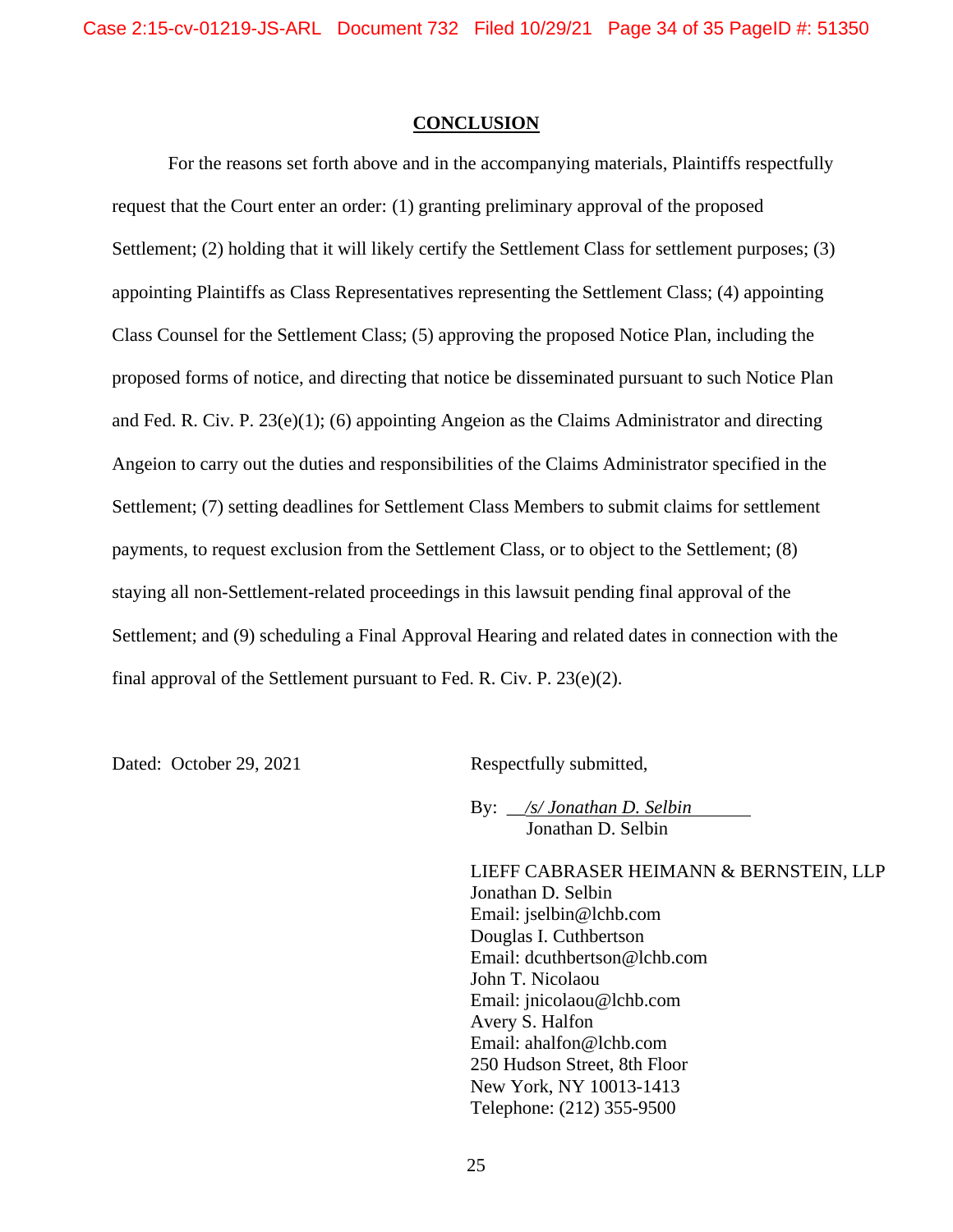#### **CONCLUSION**

For the reasons set forth above and in the accompanying materials, Plaintiffs respectfully request that the Court enter an order: (1) granting preliminary approval of the proposed Settlement; (2) holding that it will likely certify the Settlement Class for settlement purposes; (3) appointing Plaintiffs as Class Representatives representing the Settlement Class; (4) appointing Class Counsel for the Settlement Class; (5) approving the proposed Notice Plan, including the proposed forms of notice, and directing that notice be disseminated pursuant to such Notice Plan and Fed. R. Civ. P. 23(e)(1); (6) appointing Angeion as the Claims Administrator and directing Angeion to carry out the duties and responsibilities of the Claims Administrator specified in the Settlement; (7) setting deadlines for Settlement Class Members to submit claims for settlement payments, to request exclusion from the Settlement Class, or to object to the Settlement; (8) staying all non-Settlement-related proceedings in this lawsuit pending final approval of the Settlement; and (9) scheduling a Final Approval Hearing and related dates in connection with the final approval of the Settlement pursuant to Fed. R. Civ. P. 23(e)(2).

Dated: October 29, 2021 Respectfully submitted,

By: \_\_*/s/ Jonathan D. Selbin* Jonathan D. Selbin

LIEFF CABRASER HEIMANN & BERNSTEIN, LLP Jonathan D. Selbin Email: jselbin@lchb.com Douglas I. Cuthbertson Email: dcuthbertson@lchb.com John T. Nicolaou Email: jnicolaou@lchb.com Avery S. Halfon Email: ahalfon@lchb.com 250 Hudson Street, 8th Floor New York, NY 10013-1413 Telephone: (212) 355-9500